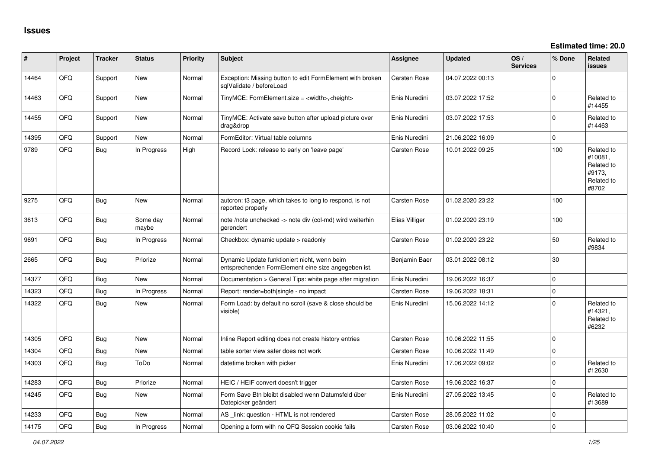| #     | Project | <b>Tracker</b> | <b>Status</b>     | <b>Priority</b> | <b>Subject</b>                                                                                      | <b>Assignee</b>     | <b>Updated</b>   | OS/<br><b>Services</b> | % Done      | <b>Related</b><br><b>issues</b>                                      |
|-------|---------|----------------|-------------------|-----------------|-----------------------------------------------------------------------------------------------------|---------------------|------------------|------------------------|-------------|----------------------------------------------------------------------|
| 14464 | QFQ     | Support        | <b>New</b>        | Normal          | Exception: Missing button to edit FormElement with broken<br>sqlValidate / beforeLoad               | Carsten Rose        | 04.07.2022 00:13 |                        | $\Omega$    |                                                                      |
| 14463 | QFQ     | Support        | <b>New</b>        | Normal          | $TinyMCE: FormElement.size = ~$ , $theight$                                                         | Enis Nuredini       | 03.07.2022 17:52 |                        | $\Omega$    | Related to<br>#14455                                                 |
| 14455 | QFQ     | Support        | <b>New</b>        | Normal          | TinyMCE: Activate save button after upload picture over<br>drag&drop                                | Enis Nuredini       | 03.07.2022 17:53 |                        | $\Omega$    | Related to<br>#14463                                                 |
| 14395 | QFQ     | Support        | <b>New</b>        | Normal          | FormEditor: Virtual table columns                                                                   | Enis Nuredini       | 21.06.2022 16:09 |                        | $\mathbf 0$ |                                                                      |
| 9789  | QFQ     | <b>Bug</b>     | In Progress       | High            | Record Lock: release to early on 'leave page'                                                       | Carsten Rose        | 10.01.2022 09:25 |                        | 100         | Related to<br>#10081.<br>Related to<br>#9173,<br>Related to<br>#8702 |
| 9275  | QFQ     | Bug            | <b>New</b>        | Normal          | auteron: t3 page, which takes to long to respond, is not<br>reported properly                       | Carsten Rose        | 01.02.2020 23:22 |                        | 100         |                                                                      |
| 3613  | QFQ     | <b>Bug</b>     | Some day<br>maybe | Normal          | note /note unchecked -> note div (col-md) wird weiterhin<br>gerendert                               | Elias Villiger      | 01.02.2020 23:19 |                        | 100         |                                                                      |
| 9691  | QFQ     | Bug            | In Progress       | Normal          | Checkbox: dynamic update > readonly                                                                 | <b>Carsten Rose</b> | 01.02.2020 23:22 |                        | 50          | Related to<br>#9834                                                  |
| 2665  | QFQ     | Bug            | Priorize          | Normal          | Dynamic Update funktioniert nicht, wenn beim<br>entsprechenden FormElement eine size angegeben ist. | Benjamin Baer       | 03.01.2022 08:12 |                        | 30          |                                                                      |
| 14377 | QFQ     | Bug            | <b>New</b>        | Normal          | Documentation > General Tips: white page after migration                                            | Enis Nuredini       | 19.06.2022 16:37 |                        | $\mathbf 0$ |                                                                      |
| 14323 | QFQ     | <b>Bug</b>     | In Progress       | Normal          | Report: render=both single - no impact                                                              | <b>Carsten Rose</b> | 19.06.2022 18:31 |                        | $\mathbf 0$ |                                                                      |
| 14322 | QFQ     | Bug            | New               | Normal          | Form Load: by default no scroll (save & close should be<br>visible)                                 | Enis Nuredini       | 15.06.2022 14:12 |                        | $\Omega$    | Related to<br>#14321,<br>Related to<br>#6232                         |
| 14305 | QFQ     | Bug            | <b>New</b>        | Normal          | Inline Report editing does not create history entries                                               | <b>Carsten Rose</b> | 10.06.2022 11:55 |                        | $\pmb{0}$   |                                                                      |
| 14304 | QFQ     | Bug            | <b>New</b>        | Normal          | table sorter view safer does not work                                                               | Carsten Rose        | 10.06.2022 11:49 |                        | $\mathbf 0$ |                                                                      |
| 14303 | QFQ     | Bug            | ToDo              | Normal          | datetime broken with picker                                                                         | Enis Nuredini       | 17.06.2022 09:02 |                        | $\mathbf 0$ | Related to<br>#12630                                                 |
| 14283 | QFQ     | Bug            | Priorize          | Normal          | HEIC / HEIF convert doesn't trigger                                                                 | Carsten Rose        | 19.06.2022 16:37 |                        | $\mathbf 0$ |                                                                      |
| 14245 | QFQ     | <b>Bug</b>     | New               | Normal          | Form Save Btn bleibt disabled wenn Datumsfeld über<br>Datepicker geändert                           | Enis Nuredini       | 27.05.2022 13:45 |                        | $\Omega$    | Related to<br>#13689                                                 |
| 14233 | QFQ     | Bug            | <b>New</b>        | Normal          | AS _link: question - HTML is not rendered                                                           | <b>Carsten Rose</b> | 28.05.2022 11:02 |                        | $\mathbf 0$ |                                                                      |
| 14175 | QFQ     | Bug            | In Progress       | Normal          | Opening a form with no QFQ Session cookie fails                                                     | Carsten Rose        | 03.06.2022 10:40 |                        | $\mathbf 0$ |                                                                      |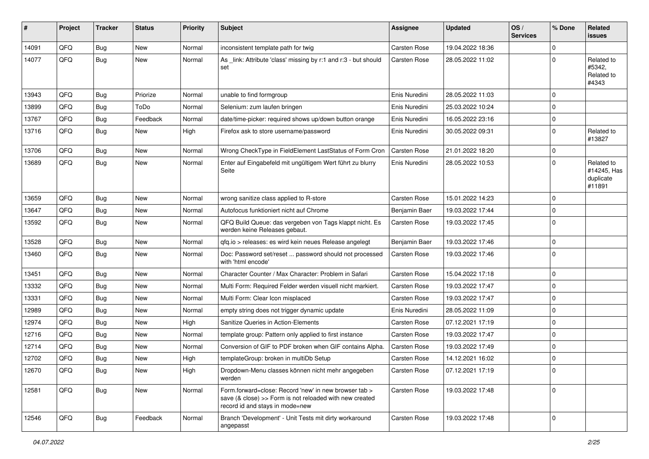| #     | Project | <b>Tracker</b> | <b>Status</b> | <b>Priority</b> | <b>Subject</b>                                                                                                                                      | Assignee            | <b>Updated</b>   | OS/<br><b>Services</b> | % Done      | Related<br><b>issues</b>                         |
|-------|---------|----------------|---------------|-----------------|-----------------------------------------------------------------------------------------------------------------------------------------------------|---------------------|------------------|------------------------|-------------|--------------------------------------------------|
| 14091 | QFQ     | <b>Bug</b>     | <b>New</b>    | Normal          | inconsistent template path for twig                                                                                                                 | <b>Carsten Rose</b> | 19.04.2022 18:36 |                        | $\Omega$    |                                                  |
| 14077 | QFQ     | <b>Bug</b>     | New           | Normal          | As _link: Attribute 'class' missing by r:1 and r:3 - but should<br>set                                                                              | <b>Carsten Rose</b> | 28.05.2022 11:02 |                        | $\Omega$    | Related to<br>#5342,<br>Related to<br>#4343      |
| 13943 | QFQ     | <b>Bug</b>     | Priorize      | Normal          | unable to find formgroup                                                                                                                            | Enis Nuredini       | 28.05.2022 11:03 |                        | $\mathbf 0$ |                                                  |
| 13899 | QFQ     | <b>Bug</b>     | ToDo          | Normal          | Selenium: zum laufen bringen                                                                                                                        | Enis Nuredini       | 25.03.2022 10:24 |                        | 0           |                                                  |
| 13767 | QFQ     | <b>Bug</b>     | Feedback      | Normal          | date/time-picker: required shows up/down button orange                                                                                              | Enis Nuredini       | 16.05.2022 23:16 |                        | $\mathbf 0$ |                                                  |
| 13716 | QFQ     | <b>Bug</b>     | New           | High            | Firefox ask to store username/password                                                                                                              | Enis Nuredini       | 30.05.2022 09:31 |                        | $\mathbf 0$ | Related to<br>#13827                             |
| 13706 | QFQ     | <b>Bug</b>     | <b>New</b>    | Normal          | Wrong CheckType in FieldElement LastStatus of Form Cron                                                                                             | <b>Carsten Rose</b> | 21.01.2022 18:20 |                        | $\mathbf 0$ |                                                  |
| 13689 | QFQ     | <b>Bug</b>     | New           | Normal          | Enter auf Eingabefeld mit ungültigem Wert führt zu blurry<br>Seite                                                                                  | Enis Nuredini       | 28.05.2022 10:53 |                        | $\Omega$    | Related to<br>#14245, Has<br>duplicate<br>#11891 |
| 13659 | QFQ     | <b>Bug</b>     | New           | Normal          | wrong sanitize class applied to R-store                                                                                                             | Carsten Rose        | 15.01.2022 14:23 |                        | $\mathbf 0$ |                                                  |
| 13647 | QFQ     | <b>Bug</b>     | <b>New</b>    | Normal          | Autofocus funktioniert nicht auf Chrome                                                                                                             | Benjamin Baer       | 19.03.2022 17:44 |                        | $\mathbf 0$ |                                                  |
| 13592 | QFQ     | Bug            | New           | Normal          | QFQ Build Queue: das vergeben von Tags klappt nicht. Es<br>werden keine Releases gebaut.                                                            | Carsten Rose        | 19.03.2022 17:45 |                        | $\mathbf 0$ |                                                  |
| 13528 | QFQ     | <b>Bug</b>     | New           | Normal          | qfq.io > releases: es wird kein neues Release angelegt                                                                                              | Benjamin Baer       | 19.03.2022 17:46 |                        | 0           |                                                  |
| 13460 | QFQ     | <b>Bug</b>     | <b>New</b>    | Normal          | Doc: Password set/reset  password should not processed<br>with 'html encode'                                                                        | Carsten Rose        | 19.03.2022 17:46 |                        | $\mathbf 0$ |                                                  |
| 13451 | QFQ     | <b>Bug</b>     | New           | Normal          | Character Counter / Max Character: Problem in Safari                                                                                                | Carsten Rose        | 15.04.2022 17:18 |                        | $\mathbf 0$ |                                                  |
| 13332 | QFQ     | <b>Bug</b>     | New           | Normal          | Multi Form: Required Felder werden visuell nicht markiert.                                                                                          | <b>Carsten Rose</b> | 19.03.2022 17:47 |                        | $\mathbf 0$ |                                                  |
| 13331 | QFQ     | <b>Bug</b>     | <b>New</b>    | Normal          | Multi Form: Clear Icon misplaced                                                                                                                    | <b>Carsten Rose</b> | 19.03.2022 17:47 |                        | $\mathbf 0$ |                                                  |
| 12989 | QFQ     | <b>Bug</b>     | New           | Normal          | empty string does not trigger dynamic update                                                                                                        | Enis Nuredini       | 28.05.2022 11:09 |                        | $\mathbf 0$ |                                                  |
| 12974 | QFQ     | <b>Bug</b>     | <b>New</b>    | High            | Sanitize Queries in Action-Elements                                                                                                                 | <b>Carsten Rose</b> | 07.12.2021 17:19 |                        | $\mathbf 0$ |                                                  |
| 12716 | QFQ     | <b>Bug</b>     | New           | Normal          | template group: Pattern only applied to first instance                                                                                              | <b>Carsten Rose</b> | 19.03.2022 17:47 |                        | $\mathbf 0$ |                                                  |
| 12714 | QFQ     | <b>Bug</b>     | New           | Normal          | Conversion of GIF to PDF broken when GIF contains Alpha.                                                                                            | <b>Carsten Rose</b> | 19.03.2022 17:49 |                        | $\mathbf 0$ |                                                  |
| 12702 | QFQ     | <b>Bug</b>     | New           | High            | templateGroup: broken in multiDb Setup                                                                                                              | Carsten Rose        | 14.12.2021 16:02 |                        | $\mathbf 0$ |                                                  |
| 12670 | QFQ     | Bug            | New           | High            | Dropdown-Menu classes können nicht mehr angegeben<br>werden                                                                                         | Carsten Rose        | 07.12.2021 17:19 |                        | 0           |                                                  |
| 12581 | QFQ     | Bug            | New           | Normal          | Form.forward=close: Record 'new' in new browser tab ><br>save (& close) >> Form is not reloaded with new created<br>record id and stays in mode=new | Carsten Rose        | 19.03.2022 17:48 |                        | $\mathbf 0$ |                                                  |
| 12546 | QFQ     | Bug            | Feedback      | Normal          | Branch 'Development' - Unit Tests mit dirty workaround<br>angepasst                                                                                 | Carsten Rose        | 19.03.2022 17:48 |                        | 0           |                                                  |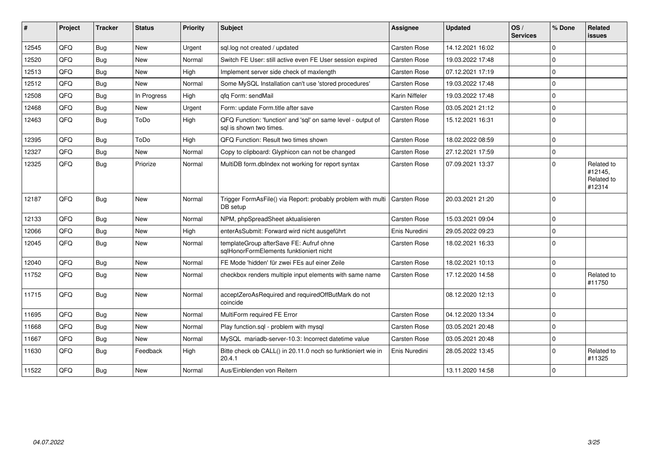| #     | Project | <b>Tracker</b> | <b>Status</b> | <b>Priority</b> | <b>Subject</b>                                                                          | <b>Assignee</b>     | <b>Updated</b>   | OS/<br><b>Services</b> | % Done      | Related<br><b>issues</b>                      |
|-------|---------|----------------|---------------|-----------------|-----------------------------------------------------------------------------------------|---------------------|------------------|------------------------|-------------|-----------------------------------------------|
| 12545 | QFQ     | Bug            | <b>New</b>    | Urgent          | sql.log not created / updated                                                           | <b>Carsten Rose</b> | 14.12.2021 16:02 |                        | $\Omega$    |                                               |
| 12520 | QFQ     | Bug            | <b>New</b>    | Normal          | Switch FE User: still active even FE User session expired                               | <b>Carsten Rose</b> | 19.03.2022 17:48 |                        | $\Omega$    |                                               |
| 12513 | QFQ     | Bug            | New           | High            | Implement server side check of maxlength                                                | <b>Carsten Rose</b> | 07.12.2021 17:19 |                        | $\Omega$    |                                               |
| 12512 | QFQ     | Bug            | <b>New</b>    | Normal          | Some MySQL Installation can't use 'stored procedures'                                   | <b>Carsten Rose</b> | 19.03.2022 17:48 |                        | $\mathbf 0$ |                                               |
| 12508 | QFQ     | Bug            | In Progress   | High            | gfg Form: sendMail                                                                      | Karin Niffeler      | 19.03.2022 17:48 |                        | $\mathbf 0$ |                                               |
| 12468 | QFQ     | Bug            | <b>New</b>    | Urgent          | Form: update Form.title after save                                                      | <b>Carsten Rose</b> | 03.05.2021 21:12 |                        | $\mathbf 0$ |                                               |
| 12463 | QFQ     | <b>Bug</b>     | ToDo          | High            | QFQ Function: 'function' and 'sql' on same level - output of<br>sal is shown two times. | Carsten Rose        | 15.12.2021 16:31 |                        | $\Omega$    |                                               |
| 12395 | QFQ     | Bug            | ToDo          | High            | QFQ Function: Result two times shown                                                    | Carsten Rose        | 18.02.2022 08:59 |                        | $\Omega$    |                                               |
| 12327 | QFQ     | Bug            | <b>New</b>    | Normal          | Copy to clipboard: Glyphicon can not be changed                                         | Carsten Rose        | 27.12.2021 17:59 |                        | $\mathbf 0$ |                                               |
| 12325 | QFQ     | <b>Bug</b>     | Priorize      | Normal          | MultiDB form.dblndex not working for report syntax                                      | Carsten Rose        | 07.09.2021 13:37 |                        | $\Omega$    | Related to<br>#12145,<br>Related to<br>#12314 |
| 12187 | QFQ     | Bug            | <b>New</b>    | Normal          | Trigger FormAsFile() via Report: probably problem with multi   Carsten Rose<br>DB setup |                     | 20.03.2021 21:20 |                        | $\Omega$    |                                               |
| 12133 | QFQ     | Bug            | <b>New</b>    | Normal          | NPM, phpSpreadSheet aktualisieren                                                       | <b>Carsten Rose</b> | 15.03.2021 09:04 |                        | $\mathbf 0$ |                                               |
| 12066 | QFQ     | Bug            | <b>New</b>    | High            | enterAsSubmit: Forward wird nicht ausgeführt                                            | Enis Nuredini       | 29.05.2022 09:23 |                        | $\Omega$    |                                               |
| 12045 | QFQ     | Bug            | <b>New</b>    | Normal          | templateGroup afterSave FE: Aufruf ohne<br>sqlHonorFormElements funktioniert nicht      | Carsten Rose        | 18.02.2021 16:33 |                        | $\Omega$    |                                               |
| 12040 | QFQ     | Bug            | <b>New</b>    | Normal          | FE Mode 'hidden' für zwei FEs auf einer Zeile                                           | <b>Carsten Rose</b> | 18.02.2021 10:13 |                        | $\Omega$    |                                               |
| 11752 | QFQ     | Bug            | <b>New</b>    | Normal          | checkbox renders multiple input elements with same name                                 | Carsten Rose        | 17.12.2020 14:58 |                        | $\Omega$    | Related to<br>#11750                          |
| 11715 | QFQ     | Bug            | <b>New</b>    | Normal          | acceptZeroAsRequired and requiredOffButMark do not<br>coincide                          |                     | 08.12.2020 12:13 |                        | $\mathbf 0$ |                                               |
| 11695 | QFQ     | Bug            | <b>New</b>    | Normal          | MultiForm required FE Error                                                             | <b>Carsten Rose</b> | 04.12.2020 13:34 |                        | $\mathbf 0$ |                                               |
| 11668 | QFQ     | Bug            | <b>New</b>    | Normal          | Play function.sql - problem with mysql                                                  | <b>Carsten Rose</b> | 03.05.2021 20:48 |                        | $\mathbf 0$ |                                               |
| 11667 | QFQ     | Bug            | <b>New</b>    | Normal          | MySQL mariadb-server-10.3: Incorrect datetime value                                     | <b>Carsten Rose</b> | 03.05.2021 20:48 |                        | $\mathbf 0$ |                                               |
| 11630 | QFQ     | Bug            | Feedback      | High            | Bitte check ob CALL() in 20.11.0 noch so funktioniert wie in<br>20.4.1                  | Enis Nuredini       | 28.05.2022 13:45 |                        | $\Omega$    | Related to<br>#11325                          |
| 11522 | QFQ     | Bug            | New           | Normal          | Aus/Einblenden von Reitern                                                              |                     | 13.11.2020 14:58 |                        | $\mathbf 0$ |                                               |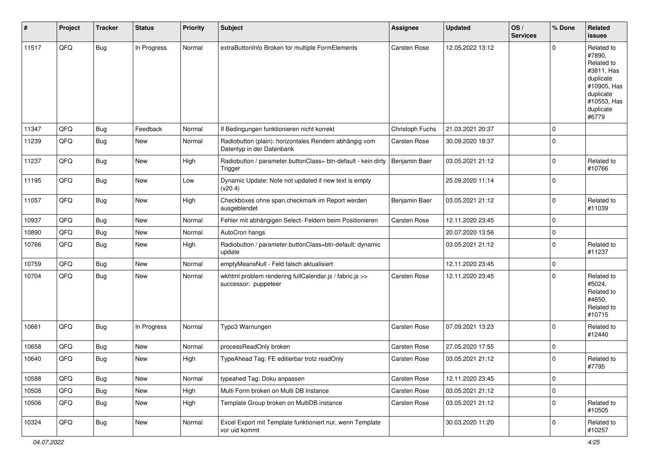| #     | Project | <b>Tracker</b> | <b>Status</b> | <b>Priority</b> | <b>Subject</b>                                                                      | Assignee            | <b>Updated</b>   | OS/<br><b>Services</b> | % Done      | Related<br><b>issues</b>                                                                                                       |
|-------|---------|----------------|---------------|-----------------|-------------------------------------------------------------------------------------|---------------------|------------------|------------------------|-------------|--------------------------------------------------------------------------------------------------------------------------------|
| 11517 | QFQ     | <b>Bug</b>     | In Progress   | Normal          | extraButtonInfo Broken for multiple FormElements                                    | Carsten Rose        | 12.05.2022 13:12 |                        | $\Omega$    | Related to<br>#7890,<br>Related to<br>#3811. Has<br>duplicate<br>#10905, Has<br>duplicate<br>#10553, Has<br>duplicate<br>#6779 |
| 11347 | QFQ     | Bug            | Feedback      | Normal          | If Bedingungen funktionieren nicht korrekt                                          | Christoph Fuchs     | 21.03.2021 20:37 |                        | $\mathbf 0$ |                                                                                                                                |
| 11239 | QFQ     | Bug            | New           | Normal          | Radiobutton (plain): horizontales Rendern abhängig vom<br>Datentyp in der Datenbank | Carsten Rose        | 30.09.2020 18:37 |                        | $\Omega$    |                                                                                                                                |
| 11237 | QFQ     | <b>Bug</b>     | New           | High            | Radiobutton / parameter.buttonClass= btn-default - kein dirty<br>Trigger            | Benjamin Baer       | 03.05.2021 21:12 |                        | 0           | Related to<br>#10766                                                                                                           |
| 11195 | QFQ     | Bug            | New           | Low             | Dynamic Update: Note not updated if new text is empty<br>(v20.4)                    |                     | 25.09.2020 11:14 |                        | $\mathbf 0$ |                                                                                                                                |
| 11057 | QFQ     | Bug            | New           | High            | Checkboxes ohne span.checkmark im Report werden<br>ausgeblendet                     | Benjamin Baer       | 03.05.2021 21:12 |                        | $\mathbf 0$ | Related to<br>#11039                                                                                                           |
| 10937 | QFQ     | Bug            | New           | Normal          | Fehler mit abhängigen Select- Feldern beim Positionieren                            | Carsten Rose        | 12.11.2020 23:45 |                        | $\mathbf 0$ |                                                                                                                                |
| 10890 | QFQ     | Bug            | New           | Normal          | AutoCron hangs                                                                      |                     | 20.07.2020 13:56 |                        | 0           |                                                                                                                                |
| 10766 | QFQ     | <b>Bug</b>     | New           | High            | Radiobutton / parameter.buttonClass=btn-default: dynamic<br>update                  |                     | 03.05.2021 21:12 |                        | $\mathbf 0$ | Related to<br>#11237                                                                                                           |
| 10759 | QFQ     | <b>Bug</b>     | New           | Normal          | emptyMeansNull - Feld falsch aktualisiert                                           |                     | 12.11.2020 23:45 |                        | $\mathbf 0$ |                                                                                                                                |
| 10704 | QFQ     | <b>Bug</b>     | New           | Normal          | wkhtml problem rendering fullCalendar.js / fabric.js >><br>successor: puppeteer     | Carsten Rose        | 12.11.2020 23:45 |                        | $\Omega$    | Related to<br>#5024,<br>Related to<br>#4650,<br>Related to<br>#10715                                                           |
| 10661 | QFQ     | Bug            | In Progress   | Normal          | Typo3 Warnungen                                                                     | Carsten Rose        | 07.09.2021 13:23 |                        | $\Omega$    | Related to<br>#12440                                                                                                           |
| 10658 | QFQ     | Bug            | New           | Normal          | processReadOnly broken                                                              | Carsten Rose        | 27.05.2020 17:55 |                        | 0           |                                                                                                                                |
| 10640 | QFQ     | Bug            | <b>New</b>    | High            | TypeAhead Tag: FE editierbar trotz readOnly                                         | <b>Carsten Rose</b> | 03.05.2021 21:12 |                        | $\mathbf 0$ | Related to<br>#7795                                                                                                            |
| 10588 | QFQ     | <b>Bug</b>     | New           | Normal          | typeahed Tag: Doku anpassen                                                         | Carsten Rose        | 12.11.2020 23:45 |                        | $\mathbf 0$ |                                                                                                                                |
| 10508 | QFQ     | <b>Bug</b>     | New           | High            | Multi Form broken on Multi DB Instance                                              | Carsten Rose        | 03.05.2021 21:12 |                        | $\mathbf 0$ |                                                                                                                                |
| 10506 | QFQ     | <b>Bug</b>     | New           | High            | Template Group broken on MultiDB instance                                           | Carsten Rose        | 03.05.2021 21:12 |                        | $\mathbf 0$ | Related to<br>#10505                                                                                                           |
| 10324 | QFQ     | <b>Bug</b>     | New           | Normal          | Excel Export mit Template funktioniert nur, wenn Template<br>vor uid kommt          |                     | 30.03.2020 11:20 |                        | $\mathbf 0$ | Related to<br>#10257                                                                                                           |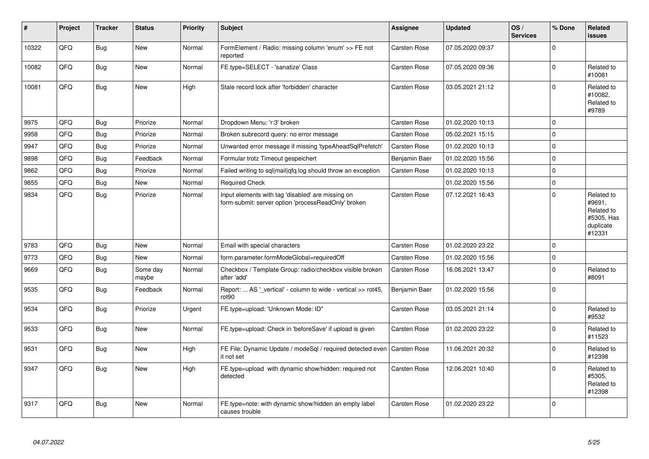| #     | Project | <b>Tracker</b> | <b>Status</b>     | <b>Priority</b> | <b>Subject</b>                                                                                           | <b>Assignee</b>     | <b>Updated</b>   | OS/<br><b>Services</b> | % Done      | Related<br><b>issues</b>                                                |
|-------|---------|----------------|-------------------|-----------------|----------------------------------------------------------------------------------------------------------|---------------------|------------------|------------------------|-------------|-------------------------------------------------------------------------|
| 10322 | QFQ     | Bug            | <b>New</b>        | Normal          | FormElement / Radio: missing column 'enum' >> FE not<br>reported                                         | <b>Carsten Rose</b> | 07.05.2020 09:37 |                        | $\Omega$    |                                                                         |
| 10082 | QFQ     | Bug            | <b>New</b>        | Normal          | FE.type=SELECT - 'sanatize' Class                                                                        | <b>Carsten Rose</b> | 07.05.2020 09:36 |                        | $\mathbf 0$ | Related to<br>#10081                                                    |
| 10081 | QFQ     | Bug            | New               | High            | Stale record lock after 'forbidden' character                                                            | <b>Carsten Rose</b> | 03.05.2021 21:12 |                        | $\mathbf 0$ | Related to<br>#10082,<br>Related to<br>#9789                            |
| 9975  | QFQ     | <b>Bug</b>     | Priorize          | Normal          | Dropdown Menu: 'r:3' broken                                                                              | Carsten Rose        | 01.02.2020 10:13 |                        | $\Omega$    |                                                                         |
| 9958  | QFQ     | <b>Bug</b>     | Priorize          | Normal          | Broken subrecord query: no error message                                                                 | Carsten Rose        | 05.02.2021 15:15 |                        | $\mathbf 0$ |                                                                         |
| 9947  | QFQ     | Bug            | Priorize          | Normal          | Unwanted error message if missing 'typeAheadSqlPrefetch'                                                 | <b>Carsten Rose</b> | 01.02.2020 10:13 |                        | $\mathbf 0$ |                                                                         |
| 9898  | QFQ     | <b>Bug</b>     | Feedback          | Normal          | Formular trotz Timeout gespeichert                                                                       | Benjamin Baer       | 01.02.2020 15:56 |                        | $\pmb{0}$   |                                                                         |
| 9862  | QFQ     | <b>Bug</b>     | Priorize          | Normal          | Failed writing to sql mail qfq.log should throw an exception                                             | Carsten Rose        | 01.02.2020 10:13 |                        | $\mathbf 0$ |                                                                         |
| 9855  | QFQ     | <b>Bug</b>     | New               | Normal          | <b>Required Check</b>                                                                                    |                     | 01.02.2020 15:56 |                        | $\mathbf 0$ |                                                                         |
| 9834  | QFQ     | <b>Bug</b>     | Priorize          | Normal          | Input elements with tag 'disabled' are missing on<br>form-submit: server option 'processReadOnly' broken | <b>Carsten Rose</b> | 07.12.2021 16:43 |                        | $\Omega$    | Related to<br>#9691,<br>Related to<br>#5305, Has<br>duplicate<br>#12331 |
| 9783  | QFQ     | Bug            | New               | Normal          | Email with special characters                                                                            | <b>Carsten Rose</b> | 01.02.2020 23:22 |                        | $\Omega$    |                                                                         |
| 9773  | QFQ     | <b>Bug</b>     | New               | Normal          | form.parameter.formModeGlobal=requiredOff                                                                | Carsten Rose        | 01.02.2020 15:56 |                        | $\mathbf 0$ |                                                                         |
| 9669  | QFQ     | <b>Bug</b>     | Some day<br>maybe | Normal          | Checkbox / Template Group: radio/checkbox visible broken<br>after 'add'                                  | <b>Carsten Rose</b> | 16.06.2021 13:47 |                        | $\mathbf 0$ | Related to<br>#8091                                                     |
| 9535  | QFQ     | <b>Bug</b>     | Feedback          | Normal          | Report:  AS '_vertical' - column to wide - vertical >> rot45,<br>rot <sub>90</sub>                       | Benjamin Baer       | 01.02.2020 15:56 |                        | $\mathbf 0$ |                                                                         |
| 9534  | QFQ     | <b>Bug</b>     | Priorize          | Urgent          | FE.type=upload: 'Unknown Mode: ID"                                                                       | <b>Carsten Rose</b> | 03.05.2021 21:14 |                        | $\Omega$    | Related to<br>#9532                                                     |
| 9533  | QFQ     | Bug            | New               | Normal          | FE.type=upload: Check in 'beforeSave' if upload is given                                                 | <b>Carsten Rose</b> | 01.02.2020 23:22 |                        | $\mathbf 0$ | Related to<br>#11523                                                    |
| 9531  | QFQ     | <b>Bug</b>     | New               | High            | FE File: Dynamic Update / modeSql / required detected even<br>it not set                                 | <b>Carsten Rose</b> | 11.06.2021 20:32 |                        | $\Omega$    | Related to<br>#12398                                                    |
| 9347  | QFQ     | <b>Bug</b>     | New               | High            | FE.type=upload with dynamic show/hidden: required not<br>detected                                        | Carsten Rose        | 12.06.2021 10:40 |                        | $\Omega$    | Related to<br>#5305,<br>Related to<br>#12398                            |
| 9317  | QFQ     | Bug            | <b>New</b>        | Normal          | FE.type=note: with dynamic show/hidden an empty label<br>causes trouble                                  | <b>Carsten Rose</b> | 01.02.2020 23:22 |                        | $\mathbf 0$ |                                                                         |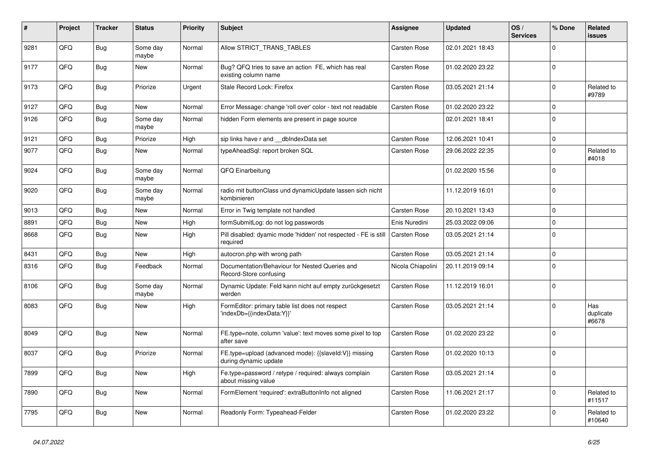| #    | Project | <b>Tracker</b> | <b>Status</b>     | <b>Priority</b> | <b>Subject</b>                                                                 | Assignee            | <b>Updated</b>   | OS/<br><b>Services</b> | % Done      | Related<br><b>issues</b>  |
|------|---------|----------------|-------------------|-----------------|--------------------------------------------------------------------------------|---------------------|------------------|------------------------|-------------|---------------------------|
| 9281 | QFQ     | <b>Bug</b>     | Some day<br>maybe | Normal          | Allow STRICT_TRANS_TABLES                                                      | <b>Carsten Rose</b> | 02.01.2021 18:43 |                        | $\mathbf 0$ |                           |
| 9177 | QFQ     | <b>Bug</b>     | <b>New</b>        | Normal          | Bug? QFQ tries to save an action FE, which has real<br>existing column name    | Carsten Rose        | 01.02.2020 23:22 |                        | $\mathbf 0$ |                           |
| 9173 | QFQ     | Bug            | Priorize          | Urgent          | Stale Record Lock: Firefox                                                     | <b>Carsten Rose</b> | 03.05.2021 21:14 |                        | $\Omega$    | Related to<br>#9789       |
| 9127 | QFQ     | Bug            | <b>New</b>        | Normal          | Error Message: change 'roll over' color - text not readable                    | Carsten Rose        | 01.02.2020 23:22 |                        | $\mathbf 0$ |                           |
| 9126 | QFQ     | <b>Bug</b>     | Some day<br>maybe | Normal          | hidden Form elements are present in page source                                |                     | 02.01.2021 18:41 |                        | $\Omega$    |                           |
| 9121 | QFQ     | <b>Bug</b>     | Priorize          | High            | sip links have r and dblndexData set                                           | <b>Carsten Rose</b> | 12.06.2021 10:41 |                        | $\mathbf 0$ |                           |
| 9077 | QFQ     | Bug            | New               | Normal          | typeAheadSql: report broken SQL                                                | Carsten Rose        | 29.06.2022 22:35 |                        | $\Omega$    | Related to<br>#4018       |
| 9024 | QFQ     | <b>Bug</b>     | Some day<br>maybe | Normal          | QFQ Einarbeitung                                                               |                     | 01.02.2020 15:56 |                        | $\mathbf 0$ |                           |
| 9020 | QFQ     | Bug            | Some day<br>maybe | Normal          | radio mit buttonClass und dynamicUpdate lassen sich nicht<br>kombinieren       |                     | 11.12.2019 16:01 |                        | $\mathbf 0$ |                           |
| 9013 | QFQ     | Bug            | New               | Normal          | Error in Twig template not handled                                             | Carsten Rose        | 20.10.2021 13:43 |                        | $\Omega$    |                           |
| 8891 | QFQ     | Bug            | <b>New</b>        | High            | formSubmitLog: do not log passwords                                            | Enis Nuredini       | 25.03.2022 09:06 |                        | $\mathbf 0$ |                           |
| 8668 | QFQ     | <b>Bug</b>     | <b>New</b>        | High            | Pill disabled: dyamic mode 'hidden' not respected - FE is still<br>required    | <b>Carsten Rose</b> | 03.05.2021 21:14 |                        | $\mathbf 0$ |                           |
| 8431 | QFQ     | Bug            | New               | High            | autocron.php with wrong path                                                   | <b>Carsten Rose</b> | 03.05.2021 21:14 |                        | $\mathbf 0$ |                           |
| 8316 | QFQ     | Bug            | Feedback          | Normal          | Documentation/Behaviour for Nested Queries and<br>Record-Store confusing       | Nicola Chiapolini   | 20.11.2019 09:14 |                        | $\mathbf 0$ |                           |
| 8106 | QFQ     | Bug            | Some day<br>maybe | Normal          | Dynamic Update: Feld kann nicht auf empty zurückgesetzt<br>werden              | Carsten Rose        | 11.12.2019 16:01 |                        | $\mathbf 0$ |                           |
| 8083 | QFQ     | <b>Bug</b>     | <b>New</b>        | High            | FormEditor: primary table list does not respect<br>'indexDb={{indexData:Y}}'   | <b>Carsten Rose</b> | 03.05.2021 21:14 |                        | $\Omega$    | Has<br>duplicate<br>#6678 |
| 8049 | QFQ     | Bug            | <b>New</b>        | Normal          | FE.type=note, column 'value': text moves some pixel to top<br>after save       | Carsten Rose        | 01.02.2020 23:22 |                        | $\mathbf 0$ |                           |
| 8037 | QFQ     | <b>Bug</b>     | Priorize          | Normal          | FE.type=upload (advanced mode): {{slaveld:V}} missing<br>during dynamic update | Carsten Rose        | 01.02.2020 10:13 |                        | $\mathbf 0$ |                           |
| 7899 | QFQ     | <b>Bug</b>     | New               | High            | Fe.type=password / retype / required: always complain<br>about missing value   | <b>Carsten Rose</b> | 03.05.2021 21:14 |                        | $\mathbf 0$ |                           |
| 7890 | QFQ     | Bug            | New               | Normal          | FormElement 'required': extraButtonInfo not aligned                            | <b>Carsten Rose</b> | 11.06.2021 21:17 |                        | $\Omega$    | Related to<br>#11517      |
| 7795 | QFQ     | <b>Bug</b>     | <b>New</b>        | Normal          | Readonly Form: Typeahead-Felder                                                | Carsten Rose        | 01.02.2020 23:22 |                        | $\Omega$    | Related to<br>#10640      |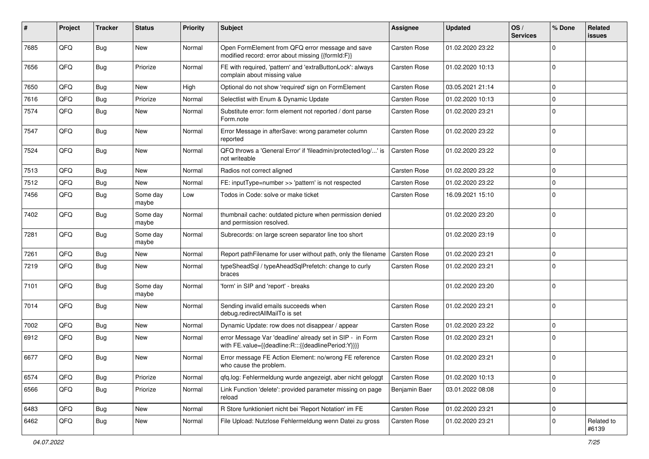| #    | Project | <b>Tracker</b> | <b>Status</b>     | <b>Priority</b> | Subject                                                                                                          | <b>Assignee</b>     | <b>Updated</b>   | OS/<br><b>Services</b> | % Done      | Related<br><b>issues</b> |
|------|---------|----------------|-------------------|-----------------|------------------------------------------------------------------------------------------------------------------|---------------------|------------------|------------------------|-------------|--------------------------|
| 7685 | QFQ     | Bug            | New               | Normal          | Open FormElement from QFQ error message and save<br>modified record: error about missing {{formId:F}}            | <b>Carsten Rose</b> | 01.02.2020 23:22 |                        | $\mathbf 0$ |                          |
| 7656 | QFQ     | Bug            | Priorize          | Normal          | FE with required, 'pattern' and 'extraButtonLock': always<br>complain about missing value                        | Carsten Rose        | 01.02.2020 10:13 |                        | $\mathbf 0$ |                          |
| 7650 | QFQ     | Bug            | New               | High            | Optional do not show 'required' sign on FormElement                                                              | <b>Carsten Rose</b> | 03.05.2021 21:14 |                        | $\mathbf 0$ |                          |
| 7616 | QFQ     | Bug            | Priorize          | Normal          | Selectlist with Enum & Dynamic Update                                                                            | Carsten Rose        | 01.02.2020 10:13 |                        | $\mathbf 0$ |                          |
| 7574 | QFQ     | <b>Bug</b>     | New               | Normal          | Substitute error: form element not reported / dont parse<br>Form.note                                            | Carsten Rose        | 01.02.2020 23:21 |                        | $\mathbf 0$ |                          |
| 7547 | QFQ     | Bug            | <b>New</b>        | Normal          | Error Message in afterSave: wrong parameter column<br>reported                                                   | Carsten Rose        | 01.02.2020 23:22 |                        | $\mathbf 0$ |                          |
| 7524 | QFQ     | Bug            | <b>New</b>        | Normal          | QFQ throws a 'General Error' if 'fileadmin/protected/log/' is<br>not writeable                                   | Carsten Rose        | 01.02.2020 23:22 |                        | $\mathbf 0$ |                          |
| 7513 | QFQ     | <b>Bug</b>     | <b>New</b>        | Normal          | Radios not correct aligned                                                                                       | <b>Carsten Rose</b> | 01.02.2020 23:22 |                        | $\mathbf 0$ |                          |
| 7512 | QFQ     | <b>Bug</b>     | New               | Normal          | FE: inputType=number >> 'pattern' is not respected                                                               | Carsten Rose        | 01.02.2020 23:22 |                        | $\mathbf 0$ |                          |
| 7456 | QFQ     | <b>Bug</b>     | Some day<br>maybe | Low             | Todos in Code: solve or make ticket                                                                              | <b>Carsten Rose</b> | 16.09.2021 15:10 |                        | $\mathbf 0$ |                          |
| 7402 | QFQ     | <b>Bug</b>     | Some day<br>maybe | Normal          | thumbnail cache: outdated picture when permission denied<br>and permission resolved.                             |                     | 01.02.2020 23:20 |                        | $\mathbf 0$ |                          |
| 7281 | QFQ     | <b>Bug</b>     | Some day<br>maybe | Normal          | Subrecords: on large screen separator line too short                                                             |                     | 01.02.2020 23:19 |                        | $\mathbf 0$ |                          |
| 7261 | QFQ     | <b>Bug</b>     | <b>New</b>        | Normal          | Report pathFilename for user without path, only the filename                                                     | <b>Carsten Rose</b> | 01.02.2020 23:21 |                        | $\mathbf 0$ |                          |
| 7219 | QFQ     | Bug            | <b>New</b>        | Normal          | typeSheadSql / typeAheadSqlPrefetch: change to curly<br>braces                                                   | Carsten Rose        | 01.02.2020 23:21 |                        | $\mathbf 0$ |                          |
| 7101 | QFQ     | Bug            | Some day<br>maybe | Normal          | 'form' in SIP and 'report' - breaks                                                                              |                     | 01.02.2020 23:20 |                        | $\mathbf 0$ |                          |
| 7014 | QFQ     | <b>Bug</b>     | <b>New</b>        | Normal          | Sending invalid emails succeeds when<br>debug.redirectAllMailTo is set                                           | Carsten Rose        | 01.02.2020 23:21 |                        | $\mathbf 0$ |                          |
| 7002 | QFQ     | Bug            | <b>New</b>        | Normal          | Dynamic Update: row does not disappear / appear                                                                  | <b>Carsten Rose</b> | 01.02.2020 23:22 |                        | $\mathbf 0$ |                          |
| 6912 | QFQ     | Bug            | <b>New</b>        | Normal          | error Message Var 'deadline' already set in SIP - in Form<br>with FE.value={{deadline:R:::{{deadlinePeriod:Y}}}} | Carsten Rose        | 01.02.2020 23:21 |                        | $\mathbf 0$ |                          |
| 6677 | QFQ     | <b>Bug</b>     | <b>New</b>        | Normal          | Error message FE Action Element: no/wrong FE reference<br>who cause the problem.                                 | Carsten Rose        | 01.02.2020 23:21 |                        | $\mathbf 0$ |                          |
| 6574 | QFQ     | <b>Bug</b>     | Priorize          | Normal          | qfq.log: Fehlermeldung wurde angezeigt, aber nicht geloggt                                                       | Carsten Rose        | 01.02.2020 10:13 |                        | $\mathbf 0$ |                          |
| 6566 | QFQ     | Bug            | Priorize          | Normal          | Link Function 'delete': provided parameter missing on page<br>reload                                             | Benjamin Baer       | 03.01.2022 08:08 |                        | $\mathbf 0$ |                          |
| 6483 | QFQ     | <b>Bug</b>     | New               | Normal          | R Store funktioniert nicht bei 'Report Notation' im FE                                                           | Carsten Rose        | 01.02.2020 23:21 |                        | $\mathbf 0$ |                          |
| 6462 | QFQ     | Bug            | New               | Normal          | File Upload: Nutzlose Fehlermeldung wenn Datei zu gross                                                          | Carsten Rose        | 01.02.2020 23:21 |                        | $\mathbf 0$ | Related to<br>#6139      |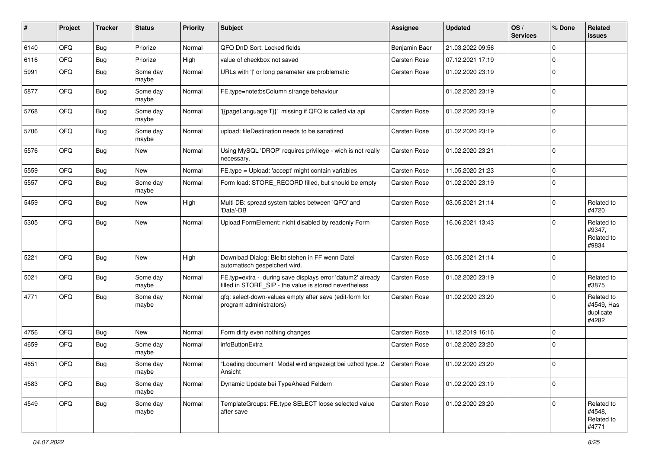| ∦    | Project | <b>Tracker</b> | <b>Status</b>     | <b>Priority</b> | <b>Subject</b>                                                                                                       | <b>Assignee</b>     | <b>Updated</b>   | OS/<br><b>Services</b> | % Done       | Related<br><b>issues</b>                       |
|------|---------|----------------|-------------------|-----------------|----------------------------------------------------------------------------------------------------------------------|---------------------|------------------|------------------------|--------------|------------------------------------------------|
| 6140 | QFQ     | Bug            | Priorize          | Normal          | QFQ DnD Sort: Locked fields                                                                                          | Benjamin Baer       | 21.03.2022 09:56 |                        | $\mathbf{0}$ |                                                |
| 6116 | QFQ     | <b>Bug</b>     | Priorize          | High            | value of checkbox not saved                                                                                          | Carsten Rose        | 07.12.2021 17:19 |                        | $\mathbf 0$  |                                                |
| 5991 | QFQ     | <b>Bug</b>     | Some day<br>maybe | Normal          | URLs with ' ' or long parameter are problematic                                                                      | Carsten Rose        | 01.02.2020 23:19 |                        | $\mathbf 0$  |                                                |
| 5877 | QFQ     | <b>Bug</b>     | Some day<br>maybe | Normal          | FE.type=note:bsColumn strange behaviour                                                                              |                     | 01.02.2020 23:19 |                        | $\mathbf 0$  |                                                |
| 5768 | QFQ     | Bug            | Some day<br>maybe | Normal          | '{{pageLanguage:T}}' missing if QFQ is called via api                                                                | <b>Carsten Rose</b> | 01.02.2020 23:19 |                        | $\mathbf 0$  |                                                |
| 5706 | QFQ     | <b>Bug</b>     | Some day<br>maybe | Normal          | upload: fileDestination needs to be sanatized                                                                        | <b>Carsten Rose</b> | 01.02.2020 23:19 |                        | $\mathbf 0$  |                                                |
| 5576 | QFQ     | Bug            | New               | Normal          | Using MySQL 'DROP' requires privilege - wich is not really<br>necessary.                                             | <b>Carsten Rose</b> | 01.02.2020 23:21 |                        | $\mathbf 0$  |                                                |
| 5559 | QFQ     | <b>Bug</b>     | <b>New</b>        | Normal          | FE.type = Upload: 'accept' might contain variables                                                                   | <b>Carsten Rose</b> | 11.05.2020 21:23 |                        | $\mathbf 0$  |                                                |
| 5557 | QFQ     | Bug            | Some day<br>maybe | Normal          | Form load: STORE_RECORD filled, but should be empty                                                                  | Carsten Rose        | 01.02.2020 23:19 |                        | $\mathbf 0$  |                                                |
| 5459 | QFQ     | <b>Bug</b>     | New               | High            | Multi DB: spread system tables between 'QFQ' and<br>'Data'-DB                                                        | Carsten Rose        | 03.05.2021 21:14 |                        | $\mathbf 0$  | Related to<br>#4720                            |
| 5305 | QFQ     | <b>Bug</b>     | New               | Normal          | Upload FormElement: nicht disabled by readonly Form                                                                  | <b>Carsten Rose</b> | 16.06.2021 13:43 |                        | $\mathbf 0$  | Related to<br>#9347,<br>Related to<br>#9834    |
| 5221 | QFQ     | <b>Bug</b>     | New               | High            | Download Dialog: Bleibt stehen in FF wenn Datei<br>automatisch gespeichert wird.                                     | Carsten Rose        | 03.05.2021 21:14 |                        | $\Omega$     |                                                |
| 5021 | QFQ     | <b>Bug</b>     | Some day<br>maybe | Normal          | FE.typ=extra - during save displays error 'datum2' already<br>filled in STORE_SIP - the value is stored nevertheless | Carsten Rose        | 01.02.2020 23:19 |                        | $\mathbf 0$  | Related to<br>#3875                            |
| 4771 | QFQ     | <b>Bug</b>     | Some day<br>maybe | Normal          | qfq: select-down-values empty after save (edit-form for<br>program administrators)                                   | <b>Carsten Rose</b> | 01.02.2020 23:20 |                        | $\Omega$     | Related to<br>#4549, Has<br>duplicate<br>#4282 |
| 4756 | QFQ     | Bug            | <b>New</b>        | Normal          | Form dirty even nothing changes                                                                                      | <b>Carsten Rose</b> | 11.12.2019 16:16 |                        | $\mathbf 0$  |                                                |
| 4659 | QFQ     | Bug            | Some day<br>maybe | Normal          | infoButtonExtra                                                                                                      | Carsten Rose        | 01.02.2020 23:20 |                        | $\mathbf 0$  |                                                |
| 4651 | QFQ     | Bug            | Some day<br>maybe | Normal          | "Loading document" Modal wird angezeigt bei uzhcd type=2   Carsten Rose<br>Ansicht                                   |                     | 01.02.2020 23:20 |                        | $\mathbf 0$  |                                                |
| 4583 | QFQ     | <b>Bug</b>     | Some day<br>maybe | Normal          | Dynamic Update bei TypeAhead Feldern                                                                                 | Carsten Rose        | 01.02.2020 23:19 |                        | $\mathbf 0$  |                                                |
| 4549 | QFG     | Bug            | Some day<br>maybe | Normal          | TemplateGroups: FE.type SELECT loose selected value<br>after save                                                    | Carsten Rose        | 01.02.2020 23:20 |                        | $\mathbf 0$  | Related to<br>#4548,<br>Related to<br>#4771    |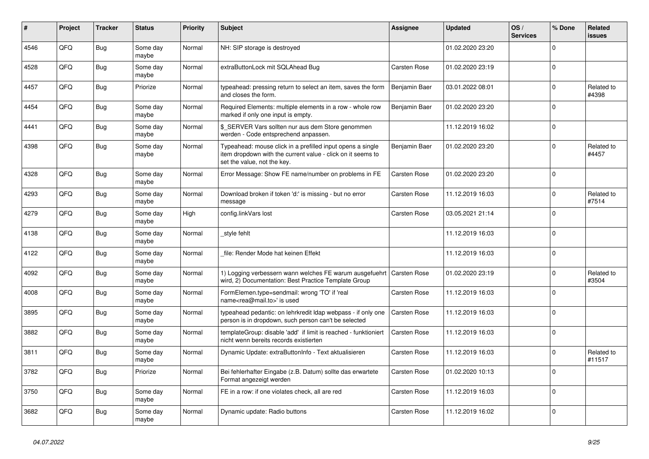| #    | Project | <b>Tracker</b> | <b>Status</b>     | <b>Priority</b> | <b>Subject</b>                                                                                                                                           | <b>Assignee</b>     | <b>Updated</b>   | OS/<br><b>Services</b> | % Done      | Related<br><b>issues</b> |
|------|---------|----------------|-------------------|-----------------|----------------------------------------------------------------------------------------------------------------------------------------------------------|---------------------|------------------|------------------------|-------------|--------------------------|
| 4546 | QFQ     | <b>Bug</b>     | Some day<br>maybe | Normal          | NH: SIP storage is destroyed                                                                                                                             |                     | 01.02.2020 23:20 |                        | $\Omega$    |                          |
| 4528 | QFQ     | Bug            | Some day<br>maybe | Normal          | extraButtonLock mit SQLAhead Bug                                                                                                                         | <b>Carsten Rose</b> | 01.02.2020 23:19 |                        | $\mathbf 0$ |                          |
| 4457 | QFQ     | <b>Bug</b>     | Priorize          | Normal          | typeahead: pressing return to select an item, saves the form<br>and closes the form.                                                                     | Benjamin Baer       | 03.01.2022 08:01 |                        | $\Omega$    | Related to<br>#4398      |
| 4454 | QFQ     | Bug            | Some day<br>maybe | Normal          | Required Elements: multiple elements in a row - whole row<br>marked if only one input is empty.                                                          | Benjamin Baer       | 01.02.2020 23:20 |                        | $\mathbf 0$ |                          |
| 4441 | QFQ     | <b>Bug</b>     | Some day<br>maybe | Normal          | \$ SERVER Vars sollten nur aus dem Store genommen<br>werden - Code entsprechend anpassen.                                                                |                     | 11.12.2019 16:02 |                        | $\mathbf 0$ |                          |
| 4398 | QFQ     | Bug            | Some day<br>maybe | Normal          | Typeahead: mouse click in a prefilled input opens a single<br>item dropdown with the current value - click on it seems to<br>set the value, not the key. | Benjamin Baer       | 01.02.2020 23:20 |                        | $\Omega$    | Related to<br>#4457      |
| 4328 | QFQ     | <b>Bug</b>     | Some day<br>maybe | Normal          | Error Message: Show FE name/number on problems in FE                                                                                                     | Carsten Rose        | 01.02.2020 23:20 |                        | $\mathbf 0$ |                          |
| 4293 | QFQ     | Bug            | Some day<br>maybe | Normal          | Download broken if token 'd:' is missing - but no error<br>message                                                                                       | Carsten Rose        | 11.12.2019 16:03 |                        | $\mathbf 0$ | Related to<br>#7514      |
| 4279 | QFQ     | <b>Bug</b>     | Some day<br>maybe | High            | config.linkVars lost                                                                                                                                     | <b>Carsten Rose</b> | 03.05.2021 21:14 |                        | $\Omega$    |                          |
| 4138 | QFQ     | <b>Bug</b>     | Some day<br>maybe | Normal          | style fehlt                                                                                                                                              |                     | 11.12.2019 16:03 |                        | $\mathbf 0$ |                          |
| 4122 | QFQ     | <b>Bug</b>     | Some day<br>maybe | Normal          | file: Render Mode hat keinen Effekt                                                                                                                      |                     | 11.12.2019 16:03 |                        | $\Omega$    |                          |
| 4092 | QFQ     | <b>Bug</b>     | Some day<br>maybe | Normal          | 1) Logging verbessern wann welches FE warum ausgefuehrt   Carsten Rose<br>wird, 2) Documentation: Best Practice Template Group                           |                     | 01.02.2020 23:19 |                        | $\mathbf 0$ | Related to<br>#3504      |
| 4008 | QFQ     | Bug            | Some day<br>maybe | Normal          | FormElemen.type=sendmail: wrong 'TO' if 'real<br>name <rea@mail.to>' is used</rea@mail.to>                                                               | Carsten Rose        | 11.12.2019 16:03 |                        | $\mathbf 0$ |                          |
| 3895 | QFQ     | <b>Bug</b>     | Some day<br>maybe | Normal          | typeahead pedantic: on lehrkredit Idap webpass - if only one<br>person is in dropdown, such person can't be selected                                     | Carsten Rose        | 11.12.2019 16:03 |                        | $\mathbf 0$ |                          |
| 3882 | QFQ     | <b>Bug</b>     | Some day<br>maybe | Normal          | templateGroup: disable 'add' if limit is reached - funktioniert<br>nicht wenn bereits records existierten                                                | <b>Carsten Rose</b> | 11.12.2019 16:03 |                        | $\mathbf 0$ |                          |
| 3811 | QFQ     | Bug            | Some day<br>maybe | Normal          | Dynamic Update: extraButtonInfo - Text aktualisieren                                                                                                     | Carsten Rose        | 11.12.2019 16:03 |                        | $\mathbf 0$ | Related to<br>#11517     |
| 3782 | QFQ     | <b>Bug</b>     | Priorize          | Normal          | Bei fehlerhafter Eingabe (z.B. Datum) sollte das erwartete<br>Format angezeigt werden                                                                    | <b>Carsten Rose</b> | 01.02.2020 10:13 |                        | $\Omega$    |                          |
| 3750 | QFQ     | <b>Bug</b>     | Some day<br>maybe | Normal          | FE in a row: if one violates check, all are red                                                                                                          | <b>Carsten Rose</b> | 11.12.2019 16:03 |                        | $\mathbf 0$ |                          |
| 3682 | QFQ     | Bug            | Some day<br>maybe | Normal          | Dynamic update: Radio buttons                                                                                                                            | Carsten Rose        | 11.12.2019 16:02 |                        | $\Omega$    |                          |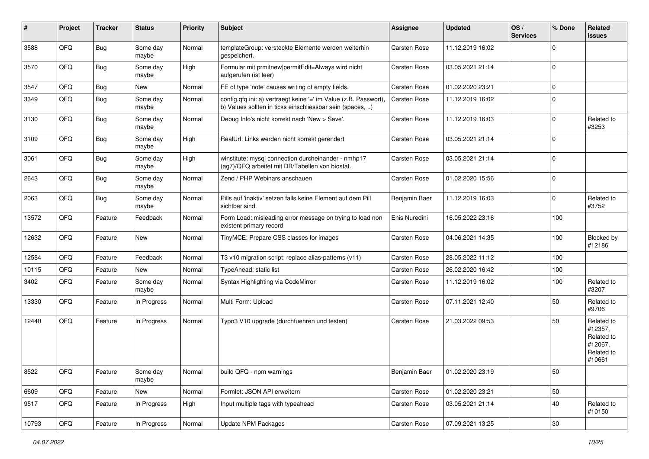| #     | Project | <b>Tracker</b> | <b>Status</b>     | <b>Priority</b> | Subject                                                                                                                       | <b>Assignee</b>     | <b>Updated</b>   | OS/<br><b>Services</b> | % Done      | Related<br><b>issues</b>                                               |
|-------|---------|----------------|-------------------|-----------------|-------------------------------------------------------------------------------------------------------------------------------|---------------------|------------------|------------------------|-------------|------------------------------------------------------------------------|
| 3588  | QFQ     | Bug            | Some day<br>maybe | Normal          | templateGroup: versteckte Elemente werden weiterhin<br>gespeichert.                                                           | Carsten Rose        | 11.12.2019 16:02 |                        | $\mathbf 0$ |                                                                        |
| 3570  | QFQ     | Bug            | Some day<br>maybe | High            | Formular mit prmitnew permitEdit=Always wird nicht<br>aufgerufen (ist leer)                                                   | Carsten Rose        | 03.05.2021 21:14 |                        | $\mathbf 0$ |                                                                        |
| 3547  | QFQ     | Bug            | <b>New</b>        | Normal          | FE of type 'note' causes writing of empty fields.                                                                             | Carsten Rose        | 01.02.2020 23:21 |                        | $\mathbf 0$ |                                                                        |
| 3349  | QFQ     | <b>Bug</b>     | Some day<br>maybe | Normal          | config.qfq.ini: a) vertraegt keine '=' im Value (z.B. Passwort),<br>b) Values sollten in ticks einschliessbar sein (spaces, ) | Carsten Rose        | 11.12.2019 16:02 |                        | $\mathbf 0$ |                                                                        |
| 3130  | QFQ     | Bug            | Some day<br>maybe | Normal          | Debug Info's nicht korrekt nach 'New > Save'.                                                                                 | Carsten Rose        | 11.12.2019 16:03 |                        | $\mathbf 0$ | Related to<br>#3253                                                    |
| 3109  | QFQ     | Bug            | Some day<br>maybe | High            | RealUrl: Links werden nicht korrekt gerendert                                                                                 | Carsten Rose        | 03.05.2021 21:14 |                        | $\mathbf 0$ |                                                                        |
| 3061  | QFQ     | Bug            | Some day<br>maybe | High            | winstitute: mysql connection durcheinander - nmhp17<br>(ag7)/QFQ arbeitet mit DB/Tabellen von biostat.                        | <b>Carsten Rose</b> | 03.05.2021 21:14 |                        | $\mathbf 0$ |                                                                        |
| 2643  | QFQ     | Bug            | Some day<br>maybe | Normal          | Zend / PHP Webinars anschauen                                                                                                 | Carsten Rose        | 01.02.2020 15:56 |                        | $\mathbf 0$ |                                                                        |
| 2063  | QFQ     | Bug            | Some day<br>maybe | Normal          | Pills auf 'inaktiv' setzen falls keine Element auf dem Pill<br>sichtbar sind.                                                 | Benjamin Baer       | 11.12.2019 16:03 |                        | $\mathbf 0$ | Related to<br>#3752                                                    |
| 13572 | QFQ     | Feature        | Feedback          | Normal          | Form Load: misleading error message on trying to load non<br>existent primary record                                          | Enis Nuredini       | 16.05.2022 23:16 |                        | 100         |                                                                        |
| 12632 | QFQ     | Feature        | New               | Normal          | TinyMCE: Prepare CSS classes for images                                                                                       | Carsten Rose        | 04.06.2021 14:35 |                        | 100         | Blocked by<br>#12186                                                   |
| 12584 | QFQ     | Feature        | Feedback          | Normal          | T3 v10 migration script: replace alias-patterns (v11)                                                                         | Carsten Rose        | 28.05.2022 11:12 |                        | 100         |                                                                        |
| 10115 | QFQ     | Feature        | New               | Normal          | TypeAhead: static list                                                                                                        | <b>Carsten Rose</b> | 26.02.2020 16:42 |                        | 100         |                                                                        |
| 3402  | QFQ     | Feature        | Some day<br>maybe | Normal          | Syntax Highlighting via CodeMirror                                                                                            | Carsten Rose        | 11.12.2019 16:02 |                        | 100         | Related to<br>#3207                                                    |
| 13330 | QFQ     | Feature        | In Progress       | Normal          | Multi Form: Upload                                                                                                            | Carsten Rose        | 07.11.2021 12:40 |                        | 50          | Related to<br>#9706                                                    |
| 12440 | QFQ     | Feature        | In Progress       | Normal          | Typo3 V10 upgrade (durchfuehren und testen)                                                                                   | Carsten Rose        | 21.03.2022 09:53 |                        | 50          | Related to<br>#12357,<br>Related to<br>#12067,<br>Related to<br>#10661 |
| 8522  | QFQ     | Feature        | Some day<br>maybe | Normal          | build QFQ - npm warnings                                                                                                      | Benjamin Baer       | 01.02.2020 23:19 |                        | 50          |                                                                        |
| 6609  | QFQ     | Feature        | New               | Normal          | Formlet: JSON API erweitern                                                                                                   | Carsten Rose        | 01.02.2020 23:21 |                        | 50          |                                                                        |
| 9517  | QFQ     | Feature        | In Progress       | High            | Input multiple tags with typeahead                                                                                            | Carsten Rose        | 03.05.2021 21:14 |                        | 40          | Related to<br>#10150                                                   |
| 10793 | QFG     | Feature        | In Progress       | Normal          | <b>Update NPM Packages</b>                                                                                                    | Carsten Rose        | 07.09.2021 13:25 |                        | 30          |                                                                        |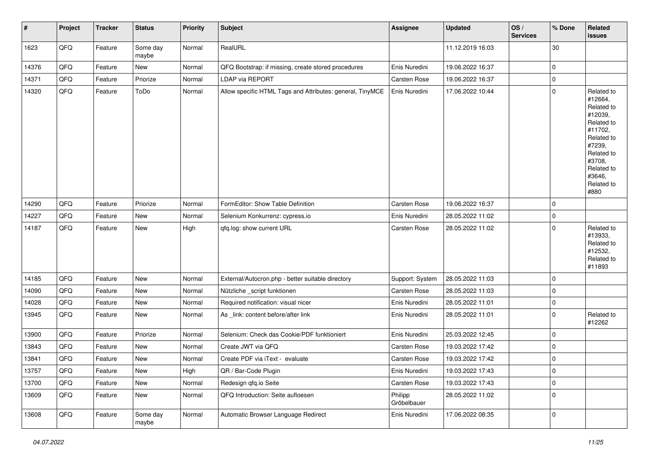| $\vert$ # | Project | <b>Tracker</b> | <b>Status</b>     | <b>Priority</b> | <b>Subject</b>                                            | Assignee               | <b>Updated</b>   | OS/<br><b>Services</b> | % Done              | Related<br><b>issues</b>                                                                                                                                              |
|-----------|---------|----------------|-------------------|-----------------|-----------------------------------------------------------|------------------------|------------------|------------------------|---------------------|-----------------------------------------------------------------------------------------------------------------------------------------------------------------------|
| 1623      | QFQ     | Feature        | Some day<br>maybe | Normal          | RealURL                                                   |                        | 11.12.2019 16:03 |                        | 30                  |                                                                                                                                                                       |
| 14376     | QFQ     | Feature        | New               | Normal          | QFQ Bootstrap: if missing, create stored procedures       | Enis Nuredini          | 19.06.2022 16:37 |                        | 0                   |                                                                                                                                                                       |
| 14371     | QFQ     | Feature        | Priorize          | Normal          | LDAP via REPORT                                           | Carsten Rose           | 19.06.2022 16:37 |                        | $\pmb{0}$           |                                                                                                                                                                       |
| 14320     | QFQ     | Feature        | ToDo              | Normal          | Allow specific HTML Tags and Attributes: general, TinyMCE | Enis Nuredini          | 17.06.2022 10:44 |                        | $\pmb{0}$           | Related to<br>#12664,<br>Related to<br>#12039,<br>Related to<br>#11702,<br>Related to<br>#7239,<br>Related to<br>#3708,<br>Related to<br>#3646,<br>Related to<br>#880 |
| 14290     | QFQ     | Feature        | Priorize          | Normal          | FormEditor: Show Table Definition                         | Carsten Rose           | 19.06.2022 16:37 |                        | $\mathbf 0$         |                                                                                                                                                                       |
| 14227     | QFQ     | Feature        | New               | Normal          | Selenium Konkurrenz: cypress.io                           | Enis Nuredini          | 28.05.2022 11:02 |                        | $\pmb{0}$           |                                                                                                                                                                       |
| 14187     | QFQ     | Feature        | New               | High            | qfq.log: show current URL                                 | Carsten Rose           | 28.05.2022 11:02 |                        | $\pmb{0}$           | Related to<br>#13933,<br>Related to<br>#12532,<br>Related to<br>#11893                                                                                                |
| 14185     | QFQ     | Feature        | New               | Normal          | External/Autocron.php - better suitable directory         | Support: System        | 28.05.2022 11:03 |                        | $\mathbf 0$         |                                                                                                                                                                       |
| 14090     | QFQ     | Feature        | New               | Normal          | Nützliche _script funktionen                              | Carsten Rose           | 28.05.2022 11:03 |                        | 0                   |                                                                                                                                                                       |
| 14028     | QFQ     | Feature        | New               | Normal          | Required notification: visual nicer                       | Enis Nuredini          | 28.05.2022 11:01 |                        | 0                   |                                                                                                                                                                       |
| 13945     | QFQ     | Feature        | New               | Normal          | As _link: content before/after link                       | Enis Nuredini          | 28.05.2022 11:01 |                        | $\mathbf 0$         | Related to<br>#12262                                                                                                                                                  |
| 13900     | QFQ     | Feature        | Priorize          | Normal          | Selenium: Check das Cookie/PDF funktioniert               | Enis Nuredini          | 25.03.2022 12:45 |                        | 0                   |                                                                                                                                                                       |
| 13843     | QFQ     | Feature        | New               | Normal          | Create JWT via QFQ                                        | Carsten Rose           | 19.03.2022 17:42 |                        | $\pmb{0}$           |                                                                                                                                                                       |
| 13841     | QFQ     | Feature        | <b>New</b>        | Normal          | Create PDF via iText - evaluate                           | Carsten Rose           | 19.03.2022 17:42 |                        | $\pmb{0}$           |                                                                                                                                                                       |
| 13757     | QFQ     | Feature        | New               | High            | QR / Bar-Code Plugin                                      | Enis Nuredini          | 19.03.2022 17:43 |                        | 0                   |                                                                                                                                                                       |
| 13700     | QFQ     | Feature        | New               | Normal          | Redesign qfq.io Seite                                     | Carsten Rose           | 19.03.2022 17:43 |                        | $\pmb{0}$           |                                                                                                                                                                       |
| 13609     | QFQ     | Feature        | New               | Normal          | QFQ Introduction: Seite aufloesen                         | Philipp<br>Gröbelbauer | 28.05.2022 11:02 |                        | $\mathsf{O}\xspace$ |                                                                                                                                                                       |
| 13608     | QFQ     | Feature        | Some day<br>maybe | Normal          | Automatic Browser Language Redirect                       | Enis Nuredini          | 17.06.2022 08:35 |                        | $\mathsf{O}\xspace$ |                                                                                                                                                                       |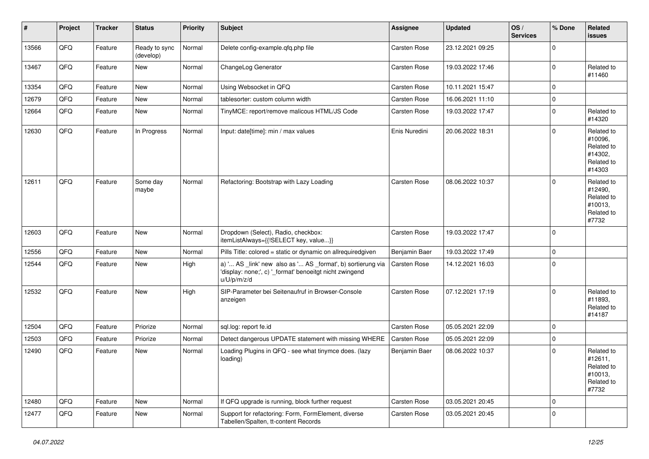| $\vert$ # | Project | <b>Tracker</b> | <b>Status</b>              | <b>Priority</b> | <b>Subject</b>                                                                                                                        | <b>Assignee</b> | <b>Updated</b>   | OS/<br><b>Services</b> | % Done      | Related<br>issues                                                      |
|-----------|---------|----------------|----------------------------|-----------------|---------------------------------------------------------------------------------------------------------------------------------------|-----------------|------------------|------------------------|-------------|------------------------------------------------------------------------|
| 13566     | QFQ     | Feature        | Ready to sync<br>(develop) | Normal          | Delete config-example.qfq.php file                                                                                                    | Carsten Rose    | 23.12.2021 09:25 |                        | $\mathbf 0$ |                                                                        |
| 13467     | QFQ     | Feature        | New                        | Normal          | ChangeLog Generator                                                                                                                   | Carsten Rose    | 19.03.2022 17:46 |                        | $\mathbf 0$ | Related to<br>#11460                                                   |
| 13354     | QFQ     | Feature        | <b>New</b>                 | Normal          | Using Websocket in QFQ                                                                                                                | Carsten Rose    | 10.11.2021 15:47 |                        | 0           |                                                                        |
| 12679     | QFQ     | Feature        | <b>New</b>                 | Normal          | tablesorter: custom column width                                                                                                      | Carsten Rose    | 16.06.2021 11:10 |                        | $\mathbf 0$ |                                                                        |
| 12664     | QFQ     | Feature        | <b>New</b>                 | Normal          | TinyMCE: report/remove malicous HTML/JS Code                                                                                          | Carsten Rose    | 19.03.2022 17:47 |                        | $\mathbf 0$ | Related to<br>#14320                                                   |
| 12630     | QFQ     | Feature        | In Progress                | Normal          | Input: date[time]: min / max values                                                                                                   | Enis Nuredini   | 20.06.2022 18:31 |                        | $\Omega$    | Related to<br>#10096,<br>Related to<br>#14302.<br>Related to<br>#14303 |
| 12611     | QFQ     | Feature        | Some day<br>maybe          | Normal          | Refactoring: Bootstrap with Lazy Loading                                                                                              | Carsten Rose    | 08.06.2022 10:37 |                        | $\mathbf 0$ | Related to<br>#12490,<br>Related to<br>#10013.<br>Related to<br>#7732  |
| 12603     | QFQ     | Feature        | <b>New</b>                 | Normal          | Dropdown (Select), Radio, checkbox:<br>itemListAlways={{!SELECT key, value}}                                                          | Carsten Rose    | 19.03.2022 17:47 |                        | $\mathbf 0$ |                                                                        |
| 12556     | QFQ     | Feature        | <b>New</b>                 | Normal          | Pills Title: colored = static or dynamic on allrequiredgiven                                                                          | Benjamin Baer   | 19.03.2022 17:49 |                        | 0           |                                                                        |
| 12544     | QFQ     | Feature        | <b>New</b>                 | High            | a) ' AS _link' new also as ' AS _format', b) sortierung via<br>'display: none;', c) '_format' benoeitgt nicht zwingend<br>u/U/p/m/z/d | Carsten Rose    | 14.12.2021 16:03 |                        | $\mathbf 0$ |                                                                        |
| 12532     | QFQ     | Feature        | New                        | High            | SIP-Parameter bei Seitenaufruf in Browser-Console<br>anzeigen                                                                         | Carsten Rose    | 07.12.2021 17:19 |                        | $\mathbf 0$ | Related to<br>#11893,<br>Related to<br>#14187                          |
| 12504     | QFQ     | Feature        | Priorize                   | Normal          | sql.log: report fe.id                                                                                                                 | Carsten Rose    | 05.05.2021 22:09 |                        | $\Omega$    |                                                                        |
| 12503     | QFQ     | Feature        | Priorize                   | Normal          | Detect dangerous UPDATE statement with missing WHERE                                                                                  | Carsten Rose    | 05.05.2021 22:09 |                        | 0           |                                                                        |
| 12490     | QFQ     | Feature        | New                        | Normal          | Loading Plugins in QFQ - see what tinymce does. (lazy<br>loading)                                                                     | Benjamin Baer   | 08.06.2022 10:37 |                        | $\mathbf 0$ | Related to<br>#12611,<br>Related to<br>#10013,<br>Related to<br>#7732  |
| 12480     | QFQ     | Feature        | <b>New</b>                 | Normal          | If QFQ upgrade is running, block further request                                                                                      | Carsten Rose    | 03.05.2021 20:45 |                        | 0           |                                                                        |
| 12477     | QFQ     | Feature        | New                        | Normal          | Support for refactoring: Form, FormElement, diverse<br>Tabellen/Spalten, tt-content Records                                           | Carsten Rose    | 03.05.2021 20:45 |                        | $\mathbf 0$ |                                                                        |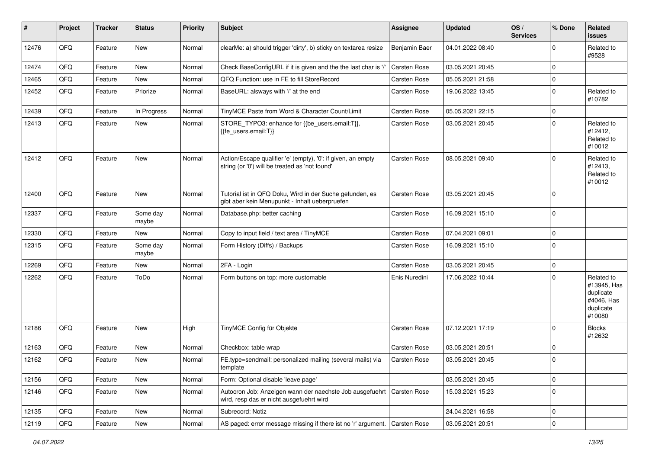| #     | Project | <b>Tracker</b> | <b>Status</b>     | <b>Priority</b> | <b>Subject</b>                                                                                                      | Assignee      | <b>Updated</b>   | OS/<br><b>Services</b> | % Done              | Related<br><b>issues</b>                                                    |
|-------|---------|----------------|-------------------|-----------------|---------------------------------------------------------------------------------------------------------------------|---------------|------------------|------------------------|---------------------|-----------------------------------------------------------------------------|
| 12476 | QFQ     | Feature        | New               | Normal          | clearMe: a) should trigger 'dirty', b) sticky on textarea resize                                                    | Benjamin Baer | 04.01.2022 08:40 |                        | $\Omega$            | Related to<br>#9528                                                         |
| 12474 | QFQ     | Feature        | <b>New</b>        | Normal          | Check BaseConfigURL if it is given and the the last char is '/'                                                     | Carsten Rose  | 03.05.2021 20:45 |                        | $\Omega$            |                                                                             |
| 12465 | QFQ     | Feature        | New               | Normal          | QFQ Function: use in FE to fill StoreRecord                                                                         | Carsten Rose  | 05.05.2021 21:58 |                        | $\mathbf 0$         |                                                                             |
| 12452 | QFQ     | Feature        | Priorize          | Normal          | BaseURL: alsways with '/' at the end                                                                                | Carsten Rose  | 19.06.2022 13:45 |                        | $\Omega$            | Related to<br>#10782                                                        |
| 12439 | QFQ     | Feature        | In Progress       | Normal          | TinyMCE Paste from Word & Character Count/Limit                                                                     | Carsten Rose  | 05.05.2021 22:15 |                        | $\mathbf 0$         |                                                                             |
| 12413 | QFQ     | Feature        | New               | Normal          | STORE_TYPO3: enhance for {{be_users.email:T}},<br>{{fe users.email:T}}                                              | Carsten Rose  | 03.05.2021 20:45 |                        | $\Omega$            | Related to<br>#12412,<br>Related to<br>#10012                               |
| 12412 | QFQ     | Feature        | New               | Normal          | Action/Escape qualifier 'e' (empty), '0': if given, an empty<br>string (or '0') will be treated as 'not found'      | Carsten Rose  | 08.05.2021 09:40 |                        | $\Omega$            | Related to<br>#12413,<br>Related to<br>#10012                               |
| 12400 | QFQ     | Feature        | New               | Normal          | Tutorial ist in QFQ Doku, Wird in der Suche gefunden, es<br>gibt aber kein Menupunkt - Inhalt ueberpruefen          | Carsten Rose  | 03.05.2021 20:45 |                        | $\mathbf 0$         |                                                                             |
| 12337 | QFQ     | Feature        | Some day<br>maybe | Normal          | Database.php: better caching                                                                                        | Carsten Rose  | 16.09.2021 15:10 |                        | $\mathbf 0$         |                                                                             |
| 12330 | QFQ     | Feature        | New               | Normal          | Copy to input field / text area / TinyMCE                                                                           | Carsten Rose  | 07.04.2021 09:01 |                        | $\mathbf 0$         |                                                                             |
| 12315 | QFQ     | Feature        | Some day<br>maybe | Normal          | Form History (Diffs) / Backups                                                                                      | Carsten Rose  | 16.09.2021 15:10 |                        | $\mathbf 0$         |                                                                             |
| 12269 | QFQ     | Feature        | <b>New</b>        | Normal          | 2FA - Login                                                                                                         | Carsten Rose  | 03.05.2021 20:45 |                        | $\mathbf 0$         |                                                                             |
| 12262 | QFQ     | Feature        | ToDo              | Normal          | Form buttons on top: more customable                                                                                | Enis Nuredini | 17.06.2022 10:44 |                        | $\mathbf 0$         | Related to<br>#13945, Has<br>duplicate<br>#4046, Has<br>duplicate<br>#10080 |
| 12186 | QFQ     | Feature        | New               | High            | TinyMCE Config für Objekte                                                                                          | Carsten Rose  | 07.12.2021 17:19 |                        | $\mathbf 0$         | <b>Blocks</b><br>#12632                                                     |
| 12163 | QFQ     | Feature        | <b>New</b>        | Normal          | Checkbox: table wrap                                                                                                | Carsten Rose  | 03.05.2021 20:51 |                        | $\mathbf 0$         |                                                                             |
| 12162 | QFQ     | Feature        | New               | Normal          | FE.type=sendmail: personalized mailing (several mails) via<br>template                                              | Carsten Rose  | 03.05.2021 20:45 |                        | $\Omega$            |                                                                             |
| 12156 | QFQ     | Feature        | New               | Normal          | Form: Optional disable 'leave page'                                                                                 |               | 03.05.2021 20:45 |                        | $\mathbf 0$         |                                                                             |
| 12146 | QFQ     | Feature        | New               | Normal          | Autocron Job: Anzeigen wann der naechste Job ausgefuehrt   Carsten Rose<br>wird, resp das er nicht ausgefuehrt wird |               | 15.03.2021 15:23 |                        | $\mathbf 0$         |                                                                             |
| 12135 | QFQ     | Feature        | New               | Normal          | Subrecord: Notiz                                                                                                    |               | 24.04.2021 16:58 |                        | $\pmb{0}$           |                                                                             |
| 12119 | QFQ     | Feature        | New               | Normal          | AS paged: error message missing if there ist no 'r' argument.   Carsten Rose                                        |               | 03.05.2021 20:51 |                        | $\mathsf{O}\xspace$ |                                                                             |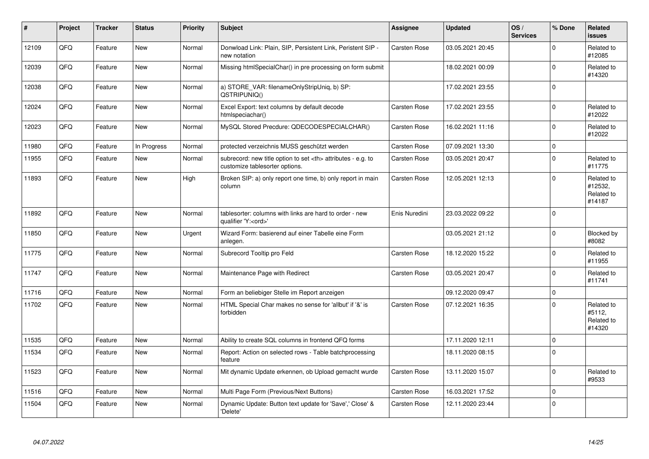| #     | Project | <b>Tracker</b> | <b>Status</b> | <b>Priority</b> | <b>Subject</b>                                                                                       | <b>Assignee</b>                                        | <b>Updated</b>   | OS/<br><b>Services</b> | % Done      | Related<br><b>issues</b>                      |                      |
|-------|---------|----------------|---------------|-----------------|------------------------------------------------------------------------------------------------------|--------------------------------------------------------|------------------|------------------------|-------------|-----------------------------------------------|----------------------|
| 12109 | QFQ     | Feature        | <b>New</b>    | Normal          | Donwload Link: Plain, SIP, Persistent Link, Peristent SIP -<br>new notation                          | <b>Carsten Rose</b>                                    | 03.05.2021 20:45 |                        | $\Omega$    | Related to<br>#12085                          |                      |
| 12039 | QFQ     | Feature        | <b>New</b>    | Normal          | Missing htmlSpecialChar() in pre processing on form submit                                           |                                                        | 18.02.2021 00:09 |                        | $\Omega$    | Related to<br>#14320                          |                      |
| 12038 | QFQ     | Feature        | <b>New</b>    | Normal          | a) STORE VAR: filenameOnlyStripUniq, b) SP:<br>QSTRIPUNIQ()                                          |                                                        | 17.02.2021 23:55 |                        | $\mathbf 0$ |                                               |                      |
| 12024 | QFQ     | Feature        | New           | Normal          | Excel Export: text columns by default decode<br>htmlspeciachar()                                     | Carsten Rose                                           | 17.02.2021 23:55 |                        | $\Omega$    | Related to<br>#12022                          |                      |
| 12023 | QFQ     | Feature        | <b>New</b>    | Normal          | MySQL Stored Precdure: QDECODESPECIALCHAR()                                                          | Carsten Rose                                           | 16.02.2021 11:16 |                        | $\mathbf 0$ | Related to<br>#12022                          |                      |
| 11980 | QFQ     | Feature        | In Progress   | Normal          | protected verzeichnis MUSS geschützt werden                                                          | Carsten Rose                                           | 07.09.2021 13:30 |                        | $\Omega$    |                                               |                      |
| 11955 | QFQ     | Feature        | <b>New</b>    | Normal          | subrecord: new title option to set <th> attributes - e.g. to<br/>customize tablesorter options.</th> | attributes - e.g. to<br>customize tablesorter options. | Carsten Rose     | 03.05.2021 20:47       |             | $\mathbf 0$                                   | Related to<br>#11775 |
| 11893 | QFQ     | Feature        | <b>New</b>    | High            | Broken SIP: a) only report one time, b) only report in main<br>column                                | Carsten Rose                                           | 12.05.2021 12:13 |                        | $\mathbf 0$ | Related to<br>#12532,<br>Related to<br>#14187 |                      |
| 11892 | QFQ     | Feature        | New           | Normal          | tablesorter: columns with links are hard to order - new<br>qualifier 'Y: <ord>'</ord>                | Enis Nuredini                                          | 23.03.2022 09:22 |                        | $\Omega$    |                                               |                      |
| 11850 | QFQ     | Feature        | New           | Urgent          | Wizard Form: basierend auf einer Tabelle eine Form<br>anlegen.                                       |                                                        | 03.05.2021 21:12 |                        | $\Omega$    | Blocked by<br>#8082                           |                      |
| 11775 | QFQ     | Feature        | New           | Normal          | Subrecord Tooltip pro Feld                                                                           | <b>Carsten Rose</b>                                    | 18.12.2020 15:22 |                        | $\Omega$    | Related to<br>#11955                          |                      |
| 11747 | QFQ     | Feature        | <b>New</b>    | Normal          | Maintenance Page with Redirect                                                                       | Carsten Rose                                           | 03.05.2021 20:47 |                        | $\mathbf 0$ | Related to<br>#11741                          |                      |
| 11716 | QFQ     | Feature        | <b>New</b>    | Normal          | Form an beliebiger Stelle im Report anzeigen                                                         |                                                        | 09.12.2020 09:47 |                        | $\Omega$    |                                               |                      |
| 11702 | QFQ     | Feature        | New           | Normal          | HTML Special Char makes no sense for 'allbut' if '&' is<br>forbidden                                 | <b>Carsten Rose</b>                                    | 07.12.2021 16:35 |                        | $\mathbf 0$ | Related to<br>#5112,<br>Related to<br>#14320  |                      |
| 11535 | QFQ     | Feature        | <b>New</b>    | Normal          | Ability to create SQL columns in frontend QFQ forms                                                  |                                                        | 17.11.2020 12:11 |                        | $\mathbf 0$ |                                               |                      |
| 11534 | QFQ     | Feature        | <b>New</b>    | Normal          | Report: Action on selected rows - Table batchprocessing<br>feature                                   |                                                        | 18.11.2020 08:15 |                        | $\mathbf 0$ |                                               |                      |
| 11523 | QFQ     | Feature        | <b>New</b>    | Normal          | Mit dynamic Update erkennen, ob Upload gemacht wurde                                                 | <b>Carsten Rose</b>                                    | 13.11.2020 15:07 |                        | $\Omega$    | Related to<br>#9533                           |                      |
| 11516 | QFQ     | Feature        | <b>New</b>    | Normal          | Multi Page Form (Previous/Next Buttons)                                                              | Carsten Rose                                           | 16.03.2021 17:52 |                        | $\Omega$    |                                               |                      |
| 11504 | QFQ     | Feature        | <b>New</b>    | Normal          | Dynamic Update: Button text update for 'Save',' Close' &<br>'Delete'                                 | Carsten Rose                                           | 12.11.2020 23:44 |                        | $\mathbf 0$ |                                               |                      |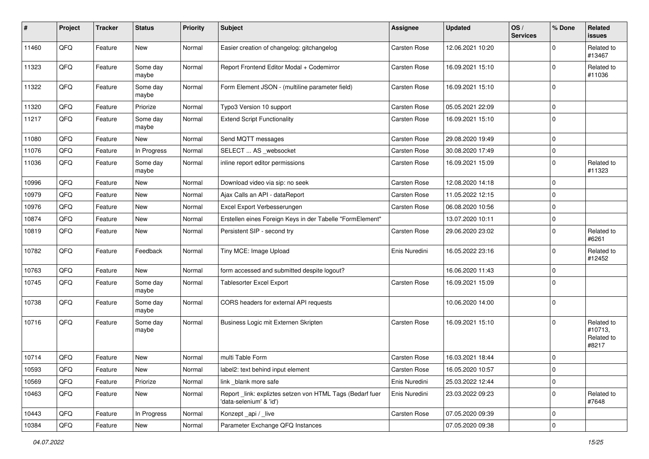| #     | Project | <b>Tracker</b> | <b>Status</b>     | <b>Priority</b> | <b>Subject</b>                                                                       | <b>Assignee</b> | <b>Updated</b>   | OS/<br><b>Services</b> | % Done      | Related<br>issues                            |
|-------|---------|----------------|-------------------|-----------------|--------------------------------------------------------------------------------------|-----------------|------------------|------------------------|-------------|----------------------------------------------|
| 11460 | QFQ     | Feature        | New               | Normal          | Easier creation of changelog: gitchangelog                                           | Carsten Rose    | 12.06.2021 10:20 |                        | $\Omega$    | Related to<br>#13467                         |
| 11323 | QFQ     | Feature        | Some day<br>maybe | Normal          | Report Frontend Editor Modal + Codemirror                                            | Carsten Rose    | 16.09.2021 15:10 |                        | $\Omega$    | Related to<br>#11036                         |
| 11322 | QFQ     | Feature        | Some day<br>maybe | Normal          | Form Element JSON - (multiline parameter field)                                      | Carsten Rose    | 16.09.2021 15:10 |                        | $\Omega$    |                                              |
| 11320 | QFQ     | Feature        | Priorize          | Normal          | Typo3 Version 10 support                                                             | Carsten Rose    | 05.05.2021 22:09 |                        | $\pmb{0}$   |                                              |
| 11217 | QFQ     | Feature        | Some day<br>maybe | Normal          | <b>Extend Script Functionality</b>                                                   | Carsten Rose    | 16.09.2021 15:10 |                        | $\Omega$    |                                              |
| 11080 | QFQ     | Feature        | New               | Normal          | Send MQTT messages                                                                   | Carsten Rose    | 29.08.2020 19:49 |                        | $\pmb{0}$   |                                              |
| 11076 | QFQ     | Feature        | In Progress       | Normal          | SELECT  AS _websocket                                                                | Carsten Rose    | 30.08.2020 17:49 |                        | $\pmb{0}$   |                                              |
| 11036 | QFQ     | Feature        | Some day<br>maybe | Normal          | inline report editor permissions                                                     | Carsten Rose    | 16.09.2021 15:09 |                        | $\Omega$    | Related to<br>#11323                         |
| 10996 | QFQ     | Feature        | New               | Normal          | Download video via sip: no seek                                                      | Carsten Rose    | 12.08.2020 14:18 |                        | $\mathbf 0$ |                                              |
| 10979 | QFQ     | Feature        | <b>New</b>        | Normal          | Ajax Calls an API - dataReport                                                       | Carsten Rose    | 11.05.2022 12:15 |                        | $\mathbf 0$ |                                              |
| 10976 | QFQ     | Feature        | New               | Normal          | Excel Export Verbesserungen                                                          | Carsten Rose    | 06.08.2020 10:56 |                        | $\mathbf 0$ |                                              |
| 10874 | QFQ     | Feature        | <b>New</b>        | Normal          | Erstellen eines Foreign Keys in der Tabelle "FormElement"                            |                 | 13.07.2020 10:11 |                        | $\mathbf 0$ |                                              |
| 10819 | QFQ     | Feature        | New               | Normal          | Persistent SIP - second try                                                          | Carsten Rose    | 29.06.2020 23:02 |                        | $\mathbf 0$ | Related to<br>#6261                          |
| 10782 | QFQ     | Feature        | Feedback          | Normal          | Tiny MCE: Image Upload                                                               | Enis Nuredini   | 16.05.2022 23:16 |                        | $\Omega$    | Related to<br>#12452                         |
| 10763 | QFQ     | Feature        | New               | Normal          | form accessed and submitted despite logout?                                          |                 | 16.06.2020 11:43 |                        | $\mathbf 0$ |                                              |
| 10745 | QFQ     | Feature        | Some day<br>maybe | Normal          | Tablesorter Excel Export                                                             | Carsten Rose    | 16.09.2021 15:09 |                        | $\Omega$    |                                              |
| 10738 | QFQ     | Feature        | Some day<br>maybe | Normal          | CORS headers for external API requests                                               |                 | 10.06.2020 14:00 |                        | $\mathbf 0$ |                                              |
| 10716 | QFQ     | Feature        | Some day<br>maybe | Normal          | Business Logic mit Externen Skripten                                                 | Carsten Rose    | 16.09.2021 15:10 |                        | $\Omega$    | Related to<br>#10713,<br>Related to<br>#8217 |
| 10714 | QFQ     | Feature        | <b>New</b>        | Normal          | multi Table Form                                                                     | Carsten Rose    | 16.03.2021 18:44 |                        | $\mathbf 0$ |                                              |
| 10593 | QFQ     | Feature        | New               | Normal          | label2: text behind input element                                                    | Carsten Rose    | 16.05.2020 10:57 |                        | 0           |                                              |
| 10569 | QFQ     | Feature        | Priorize          | Normal          | link blank more safe                                                                 | Enis Nuredini   | 25.03.2022 12:44 |                        | 0           |                                              |
| 10463 | QFQ     | Feature        | New               | Normal          | Report _link: expliztes setzen von HTML Tags (Bedarf fuer<br>'data-selenium' & 'id') | Enis Nuredini   | 23.03.2022 09:23 |                        | $\mathbf 0$ | Related to<br>#7648                          |
| 10443 | QFQ     | Feature        | In Progress       | Normal          | Konzept_api / _live                                                                  | Carsten Rose    | 07.05.2020 09:39 |                        | $\mathbf 0$ |                                              |
| 10384 | QFQ     | Feature        | New               | Normal          | Parameter Exchange QFQ Instances                                                     |                 | 07.05.2020 09:38 |                        | $\mathbf 0$ |                                              |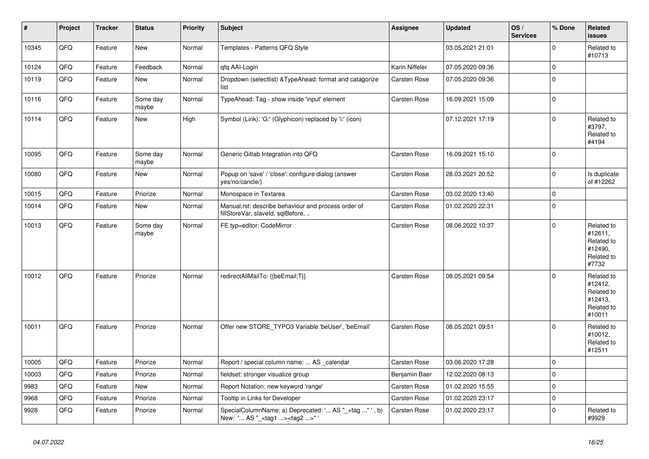| $\vert$ # | Project | <b>Tracker</b> | <b>Status</b>     | <b>Priority</b> | <b>Subject</b>                                                                                      | Assignee            | <b>Updated</b>   | OS/<br><b>Services</b> | % Done      | Related<br><b>issues</b>                                               |
|-----------|---------|----------------|-------------------|-----------------|-----------------------------------------------------------------------------------------------------|---------------------|------------------|------------------------|-------------|------------------------------------------------------------------------|
| 10345     | QFQ     | Feature        | <b>New</b>        | Normal          | Templates - Patterns QFQ Style                                                                      |                     | 03.05.2021 21:01 |                        | $\Omega$    | Related to<br>#10713                                                   |
| 10124     | QFQ     | Feature        | Feedback          | Normal          | qfq AAI-Login                                                                                       | Karin Niffeler      | 07.05.2020 09:36 |                        | $\mathbf 0$ |                                                                        |
| 10119     | QFQ     | Feature        | New               | Normal          | Dropdown (selectlist) & TypeAhead: format and catagorize<br>list                                    | Carsten Rose        | 07.05.2020 09:36 |                        | $\mathbf 0$ |                                                                        |
| 10116     | QFQ     | Feature        | Some day<br>maybe | Normal          | TypeAhead: Tag - show inside 'input' element                                                        | <b>Carsten Rose</b> | 16.09.2021 15:09 |                        | $\mathbf 0$ |                                                                        |
| 10114     | QFQ     | Feature        | New               | High            | Symbol (Link): 'G:' (Glyphicon) replaced by 'i:' (icon)                                             |                     | 07.12.2021 17:19 |                        | $\mathbf 0$ | Related to<br>#3797,<br>Related to<br>#4194                            |
| 10095     | QFQ     | Feature        | Some day<br>maybe | Normal          | Generic Gitlab Integration into QFQ                                                                 | Carsten Rose        | 16.09.2021 15:10 |                        | $\mathbf 0$ |                                                                        |
| 10080     | QFQ     | Feature        | New               | Normal          | Popup on 'save' / 'close': configure dialog (answer<br>yes/no/cancle/)                              | Carsten Rose        | 28.03.2021 20:52 |                        | $\mathbf 0$ | Is duplicate<br>of #12262                                              |
| 10015     | QFQ     | Feature        | Priorize          | Normal          | Monospace in Textarea                                                                               | Carsten Rose        | 03.02.2020 13:40 |                        | $\Omega$    |                                                                        |
| 10014     | QFQ     | Feature        | New               | Normal          | Manual.rst: describe behaviour and process order of<br>fillStoreVar, slaveId, sqlBefore,            | Carsten Rose        | 01.02.2020 22:31 |                        | $\mathbf 0$ |                                                                        |
| 10013     | QFQ     | Feature        | Some day<br>maybe | Normal          | FE.typ=editor: CodeMirror                                                                           | Carsten Rose        | 08.06.2022 10:37 |                        | $\mathbf 0$ | Related to<br>#12611,<br>Related to<br>#12490,<br>Related to<br>#7732  |
| 10012     | QFQ     | Feature        | Priorize          | Normal          | redirectAllMailTo: {{beEmail:T}}                                                                    | <b>Carsten Rose</b> | 08.05.2021 09:54 |                        | $\mathbf 0$ | Related to<br>#12412,<br>Related to<br>#12413,<br>Related to<br>#10011 |
| 10011     | QFQ     | Feature        | Priorize          | Normal          | Offer new STORE_TYPO3 Variable 'beUser', 'beEmail'                                                  | Carsten Rose        | 08.05.2021 09:51 |                        | $\Omega$    | Related to<br>#10012,<br>Related to<br>#12511                          |
| 10005     | QFQ     | Feature        | Priorize          | Normal          | Report / special column name:  AS _calendar                                                         | Carsten Rose        | 03.06.2020 17:28 |                        | $\mathbf 0$ |                                                                        |
| 10003     | QFQ     | Feature        | Priorize          | Normal          | fieldset: stronger visualize group                                                                  | Benjamin Baer       | 12.02.2020 08:13 |                        | $\mathbf 0$ |                                                                        |
| 9983      | QFQ     | Feature        | New               | Normal          | Report Notation: new keyword 'range'                                                                | Carsten Rose        | 01.02.2020 15:55 |                        | $\mathbf 0$ |                                                                        |
| 9968      | QFQ     | Feature        | Priorize          | Normal          | Tooltip in Links for Developer                                                                      | Carsten Rose        | 01.02.2020 23:17 |                        | $\mathbf 0$ |                                                                        |
| 9928      | QFQ     | Feature        | Priorize          | Normal          | SpecialColumnName: a) Deprecated: ' AS "_+tag " ', b)<br>New: ' AS "_ <tag1><tag2>" '</tag2></tag1> | Carsten Rose        | 01.02.2020 23:17 |                        | $\Omega$    | Related to<br>#9929                                                    |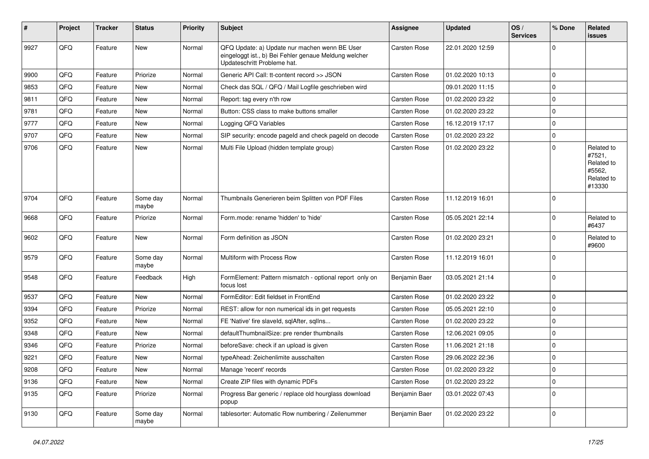| ∦    | Project | <b>Tracker</b> | <b>Status</b>     | <b>Priority</b> | Subject                                                                                                                               | Assignee            | <b>Updated</b>   | OS/<br><b>Services</b> | % Done      | Related<br><b>issues</b>                                             |
|------|---------|----------------|-------------------|-----------------|---------------------------------------------------------------------------------------------------------------------------------------|---------------------|------------------|------------------------|-------------|----------------------------------------------------------------------|
| 9927 | QFQ     | Feature        | <b>New</b>        | Normal          | QFQ Update: a) Update nur machen wenn BE User<br>eingeloggt ist., b) Bei Fehler genaue Meldung welcher<br>Updateschritt Probleme hat. | Carsten Rose        | 22.01.2020 12:59 |                        | $\mathbf 0$ |                                                                      |
| 9900 | QFQ     | Feature        | Priorize          | Normal          | Generic API Call: tt-content record >> JSON                                                                                           | <b>Carsten Rose</b> | 01.02.2020 10:13 |                        | $\mathbf 0$ |                                                                      |
| 9853 | QFQ     | Feature        | <b>New</b>        | Normal          | Check das SQL / QFQ / Mail Logfile geschrieben wird                                                                                   |                     | 09.01.2020 11:15 |                        | $\mathbf 0$ |                                                                      |
| 9811 | QFQ     | Feature        | <b>New</b>        | Normal          | Report: tag every n'th row                                                                                                            | <b>Carsten Rose</b> | 01.02.2020 23:22 |                        | $\mathbf 0$ |                                                                      |
| 9781 | QFQ     | Feature        | <b>New</b>        | Normal          | Button: CSS class to make buttons smaller                                                                                             | <b>Carsten Rose</b> | 01.02.2020 23:22 |                        | $\mathbf 0$ |                                                                      |
| 9777 | QFQ     | Feature        | <b>New</b>        | Normal          | Logging QFQ Variables                                                                                                                 | <b>Carsten Rose</b> | 16.12.2019 17:17 |                        | $\mathbf 0$ |                                                                      |
| 9707 | QFQ     | Feature        | <b>New</b>        | Normal          | SIP security: encode pageld and check pageld on decode                                                                                | <b>Carsten Rose</b> | 01.02.2020 23:22 |                        | $\mathbf 0$ |                                                                      |
| 9706 | QFQ     | Feature        | <b>New</b>        | Normal          | Multi File Upload (hidden template group)                                                                                             | <b>Carsten Rose</b> | 01.02.2020 23:22 |                        | $\mathbf 0$ | Related to<br>#7521,<br>Related to<br>#5562,<br>Related to<br>#13330 |
| 9704 | QFQ     | Feature        | Some day<br>maybe | Normal          | Thumbnails Generieren beim Splitten von PDF Files                                                                                     | <b>Carsten Rose</b> | 11.12.2019 16:01 |                        | $\mathbf 0$ |                                                                      |
| 9668 | QFQ     | Feature        | Priorize          | Normal          | Form.mode: rename 'hidden' to 'hide'                                                                                                  | <b>Carsten Rose</b> | 05.05.2021 22:14 |                        | $\mathbf 0$ | Related to<br>#6437                                                  |
| 9602 | QFQ     | Feature        | <b>New</b>        | Normal          | Form definition as JSON                                                                                                               | <b>Carsten Rose</b> | 01.02.2020 23:21 |                        | $\mathbf 0$ | Related to<br>#9600                                                  |
| 9579 | QFQ     | Feature        | Some day<br>maybe | Normal          | Multiform with Process Row                                                                                                            | <b>Carsten Rose</b> | 11.12.2019 16:01 |                        | $\Omega$    |                                                                      |
| 9548 | QFQ     | Feature        | Feedback          | High            | FormElement: Pattern mismatch - optional report only on<br>focus lost                                                                 | Benjamin Baer       | 03.05.2021 21:14 |                        | $\mathbf 0$ |                                                                      |
| 9537 | QFQ     | Feature        | <b>New</b>        | Normal          | FormEditor: Edit fieldset in FrontEnd                                                                                                 | <b>Carsten Rose</b> | 01.02.2020 23:22 |                        | $\mathbf 0$ |                                                                      |
| 9394 | QFQ     | Feature        | Priorize          | Normal          | REST: allow for non numerical ids in get requests                                                                                     | Carsten Rose        | 05.05.2021 22:10 |                        | $\mathbf 0$ |                                                                      |
| 9352 | QFQ     | Feature        | <b>New</b>        | Normal          | FE 'Native' fire slaveld, sqlAfter, sqlIns                                                                                            | <b>Carsten Rose</b> | 01.02.2020 23:22 |                        | $\mathbf 0$ |                                                                      |
| 9348 | QFQ     | Feature        | New               | Normal          | defaultThumbnailSize: pre render thumbnails                                                                                           | <b>Carsten Rose</b> | 12.06.2021 09:05 |                        | $\mathbf 0$ |                                                                      |
| 9346 | QFQ     | Feature        | Priorize          | Normal          | beforeSave: check if an upload is given                                                                                               | <b>Carsten Rose</b> | 11.06.2021 21:18 |                        | $\mathbf 0$ |                                                                      |
| 9221 | QFQ     | Feature        | <b>New</b>        | Normal          | typeAhead: Zeichenlimite ausschalten                                                                                                  | <b>Carsten Rose</b> | 29.06.2022 22:36 |                        | $\mathbf 0$ |                                                                      |
| 9208 | QFQ     | Feature        | <b>New</b>        | Normal          | Manage 'recent' records                                                                                                               | Carsten Rose        | 01.02.2020 23:22 |                        | 0           |                                                                      |
| 9136 | QFQ     | Feature        | New               | Normal          | Create ZIP files with dynamic PDFs                                                                                                    | Carsten Rose        | 01.02.2020 23:22 |                        | $\mathbf 0$ |                                                                      |
| 9135 | QFQ     | Feature        | Priorize          | Normal          | Progress Bar generic / replace old hourglass download<br>popup                                                                        | Benjamin Baer       | 03.01.2022 07:43 |                        | $\mathbf 0$ |                                                                      |
| 9130 | QFQ     | Feature        | Some day<br>maybe | Normal          | tablesorter: Automatic Row numbering / Zeilenummer                                                                                    | Benjamin Baer       | 01.02.2020 23:22 |                        | $\mathbf 0$ |                                                                      |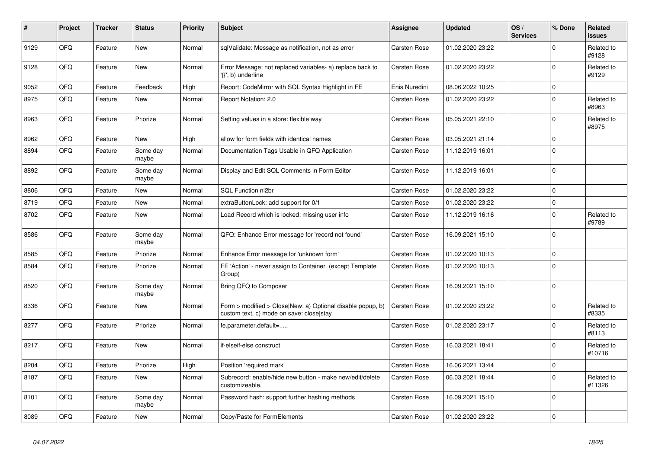| #    | Project | <b>Tracker</b> | <b>Status</b>     | <b>Priority</b> | <b>Subject</b>                                                                                         | <b>Assignee</b>     | <b>Updated</b>   | OS/<br><b>Services</b> | % Done      | Related<br><b>issues</b> |
|------|---------|----------------|-------------------|-----------------|--------------------------------------------------------------------------------------------------------|---------------------|------------------|------------------------|-------------|--------------------------|
| 9129 | QFQ     | Feature        | <b>New</b>        | Normal          | sqlValidate: Message as notification, not as error                                                     | <b>Carsten Rose</b> | 01.02.2020 23:22 |                        | $\Omega$    | Related to<br>#9128      |
| 9128 | QFQ     | Feature        | <b>New</b>        | Normal          | Error Message: not replaced variables- a) replace back to<br>'{{', b) underline                        | <b>Carsten Rose</b> | 01.02.2020 23:22 |                        | $\mathbf 0$ | Related to<br>#9129      |
| 9052 | QFQ     | Feature        | Feedback          | High            | Report: CodeMirror with SQL Syntax Highlight in FE                                                     | Enis Nuredini       | 08.06.2022 10:25 |                        | $\mathbf 0$ |                          |
| 8975 | QFQ     | Feature        | <b>New</b>        | Normal          | Report Notation: 2.0                                                                                   | <b>Carsten Rose</b> | 01.02.2020 23:22 |                        | $\mathbf 0$ | Related to<br>#8963      |
| 8963 | QFQ     | Feature        | Priorize          | Normal          | Setting values in a store: flexible way                                                                | Carsten Rose        | 05.05.2021 22:10 |                        | $\Omega$    | Related to<br>#8975      |
| 8962 | QFQ     | Feature        | <b>New</b>        | High            | allow for form fields with identical names                                                             | Carsten Rose        | 03.05.2021 21:14 |                        | $\Omega$    |                          |
| 8894 | QFQ     | Feature        | Some day<br>maybe | Normal          | Documentation Tags Usable in QFQ Application                                                           | Carsten Rose        | 11.12.2019 16:01 |                        | $\Omega$    |                          |
| 8892 | QFQ     | Feature        | Some day<br>maybe | Normal          | Display and Edit SQL Comments in Form Editor                                                           | Carsten Rose        | 11.12.2019 16:01 |                        | $\Omega$    |                          |
| 8806 | QFQ     | Feature        | <b>New</b>        | Normal          | SQL Function nl2br                                                                                     | <b>Carsten Rose</b> | 01.02.2020 23:22 |                        | $\mathbf 0$ |                          |
| 8719 | QFQ     | Feature        | New               | Normal          | extraButtonLock: add support for 0/1                                                                   | Carsten Rose        | 01.02.2020 23:22 |                        | $\Omega$    |                          |
| 8702 | QFQ     | Feature        | New               | Normal          | Load Record which is locked: missing user info                                                         | <b>Carsten Rose</b> | 11.12.2019 16:16 |                        | $\mathbf 0$ | Related to<br>#9789      |
| 8586 | QFQ     | Feature        | Some day<br>maybe | Normal          | QFQ: Enhance Error message for 'record not found'                                                      | <b>Carsten Rose</b> | 16.09.2021 15:10 |                        | $\Omega$    |                          |
| 8585 | QFQ     | Feature        | Priorize          | Normal          | Enhance Error message for 'unknown form'                                                               | Carsten Rose        | 01.02.2020 10:13 |                        | $\pmb{0}$   |                          |
| 8584 | QFQ     | Feature        | Priorize          | Normal          | FE 'Action' - never assign to Container (except Template<br>Group)                                     | Carsten Rose        | 01.02.2020 10:13 |                        | $\Omega$    |                          |
| 8520 | QFQ     | Feature        | Some day<br>maybe | Normal          | Bring QFQ to Composer                                                                                  | Carsten Rose        | 16.09.2021 15:10 |                        | $\Omega$    |                          |
| 8336 | QFQ     | Feature        | New               | Normal          | Form > modified > Close New: a) Optional disable popup, b)<br>custom text, c) mode on save: close stay | <b>Carsten Rose</b> | 01.02.2020 23:22 |                        | $\Omega$    | Related to<br>#8335      |
| 8277 | QFQ     | Feature        | Priorize          | Normal          | fe.parameter.default=                                                                                  | Carsten Rose        | 01.02.2020 23:17 |                        | $\Omega$    | Related to<br>#8113      |
| 8217 | QFQ     | Feature        | <b>New</b>        | Normal          | if-elseif-else construct                                                                               | <b>Carsten Rose</b> | 16.03.2021 18:41 |                        | $\Omega$    | Related to<br>#10716     |
| 8204 | QFQ     | Feature        | Priorize          | High            | Position 'required mark'                                                                               | Carsten Rose        | 16.06.2021 13:44 |                        | $\mathbf 0$ |                          |
| 8187 | QFQ     | Feature        | New               | Normal          | Subrecord: enable/hide new button - make new/edit/delete<br>customizeable.                             | <b>Carsten Rose</b> | 06.03.2021 18:44 |                        | $\Omega$    | Related to<br>#11326     |
| 8101 | QFQ     | Feature        | Some day<br>maybe | Normal          | Password hash: support further hashing methods                                                         | <b>Carsten Rose</b> | 16.09.2021 15:10 |                        | $\mathbf 0$ |                          |
| 8089 | QFQ     | Feature        | New               | Normal          | Copy/Paste for FormElements                                                                            | <b>Carsten Rose</b> | 01.02.2020 23:22 |                        | $\mathbf 0$ |                          |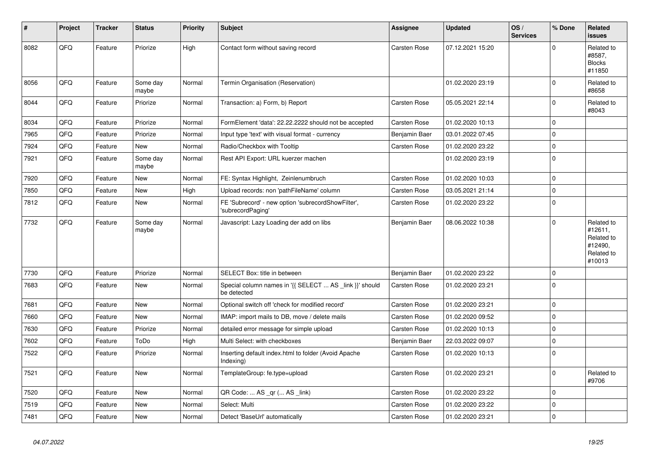| $\vert$ # | Project | <b>Tracker</b> | <b>Status</b>     | <b>Priority</b> | <b>Subject</b>                                                          | <b>Assignee</b>     | <b>Updated</b>   | OS/<br><b>Services</b> | % Done      | Related<br><b>issues</b>                                               |
|-----------|---------|----------------|-------------------|-----------------|-------------------------------------------------------------------------|---------------------|------------------|------------------------|-------------|------------------------------------------------------------------------|
| 8082      | QFQ     | Feature        | Priorize          | High            | Contact form without saving record                                      | <b>Carsten Rose</b> | 07.12.2021 15:20 |                        | $\Omega$    | Related to<br>#8587,<br><b>Blocks</b><br>#11850                        |
| 8056      | QFQ     | Feature        | Some day<br>maybe | Normal          | Termin Organisation (Reservation)                                       |                     | 01.02.2020 23:19 |                        | $\mathbf 0$ | Related to<br>#8658                                                    |
| 8044      | QFQ     | Feature        | Priorize          | Normal          | Transaction: a) Form, b) Report                                         | Carsten Rose        | 05.05.2021 22:14 |                        | $\Omega$    | Related to<br>#8043                                                    |
| 8034      | QFQ     | Feature        | Priorize          | Normal          | FormElement 'data': 22.22.2222 should not be accepted                   | <b>Carsten Rose</b> | 01.02.2020 10:13 |                        | $\mathbf 0$ |                                                                        |
| 7965      | QFQ     | Feature        | Priorize          | Normal          | Input type 'text' with visual format - currency                         | Benjamin Baer       | 03.01.2022 07:45 |                        | $\mathbf 0$ |                                                                        |
| 7924      | QFQ     | Feature        | New               | Normal          | Radio/Checkbox with Tooltip                                             | <b>Carsten Rose</b> | 01.02.2020 23:22 |                        | $\mathbf 0$ |                                                                        |
| 7921      | QFQ     | Feature        | Some day<br>maybe | Normal          | Rest API Export: URL kuerzer machen                                     |                     | 01.02.2020 23:19 |                        | $\mathbf 0$ |                                                                        |
| 7920      | QFQ     | Feature        | New               | Normal          | FE: Syntax Highlight, Zeinlenumbruch                                    | Carsten Rose        | 01.02.2020 10:03 |                        | $\mathbf 0$ |                                                                        |
| 7850      | QFQ     | Feature        | New               | High            | Upload records: non 'pathFileName' column                               | <b>Carsten Rose</b> | 03.05.2021 21:14 |                        | $\mathbf 0$ |                                                                        |
| 7812      | QFQ     | Feature        | New               | Normal          | FE 'Subrecord' - new option 'subrecordShowFilter',<br>'subrecordPaging' | Carsten Rose        | 01.02.2020 23:22 |                        | $\mathbf 0$ |                                                                        |
| 7732      | QFQ     | Feature        | Some day<br>maybe | Normal          | Javascript: Lazy Loading der add on libs                                | Benjamin Baer       | 08.06.2022 10:38 |                        | $\Omega$    | Related to<br>#12611,<br>Related to<br>#12490,<br>Related to<br>#10013 |
| 7730      | QFQ     | Feature        | Priorize          | Normal          | SELECT Box: title in between                                            | Benjamin Baer       | 01.02.2020 23:22 |                        | $\mathbf 0$ |                                                                        |
| 7683      | QFQ     | Feature        | <b>New</b>        | Normal          | Special column names in '{{ SELECT  AS _link }}' should<br>be detected  | Carsten Rose        | 01.02.2020 23:21 |                        | $\Omega$    |                                                                        |
| 7681      | QFQ     | Feature        | <b>New</b>        | Normal          | Optional switch off 'check for modified record'                         | Carsten Rose        | 01.02.2020 23:21 |                        | $\mathbf 0$ |                                                                        |
| 7660      | QFQ     | Feature        | New               | Normal          | IMAP: import mails to DB, move / delete mails                           | Carsten Rose        | 01.02.2020 09:52 |                        | $\mathbf 0$ |                                                                        |
| 7630      | QFQ     | Feature        | Priorize          | Normal          | detailed error message for simple upload                                | <b>Carsten Rose</b> | 01.02.2020 10:13 |                        | $\mathbf 0$ |                                                                        |
| 7602      | QFQ     | Feature        | ToDo              | High            | Multi Select: with checkboxes                                           | Benjamin Baer       | 22.03.2022 09:07 |                        | $\mathbf 0$ |                                                                        |
| 7522      | QFQ     | Feature        | Priorize          | Normal          | Inserting default index.html to folder (Avoid Apache<br>Indexing)       | Carsten Rose        | 01.02.2020 10:13 |                        | $\mathbf 0$ |                                                                        |
| 7521      | QFQ     | Feature        | New               | Normal          | TemplateGroup: fe.type=upload                                           | Carsten Rose        | 01.02.2020 23:21 |                        | $\pmb{0}$   | Related to<br>#9706                                                    |
| 7520      | QFQ     | Feature        | New               | Normal          | QR Code:  AS _qr ( AS _link)                                            | <b>Carsten Rose</b> | 01.02.2020 23:22 |                        | $\Omega$    |                                                                        |
| 7519      | QFQ     | Feature        | <b>New</b>        | Normal          | Select: Multi                                                           | Carsten Rose        | 01.02.2020 23:22 |                        | $\mathbf 0$ |                                                                        |
| 7481      | QFQ     | Feature        | New               | Normal          | Detect 'BaseUrl' automatically                                          | <b>Carsten Rose</b> | 01.02.2020 23:21 |                        | $\Omega$    |                                                                        |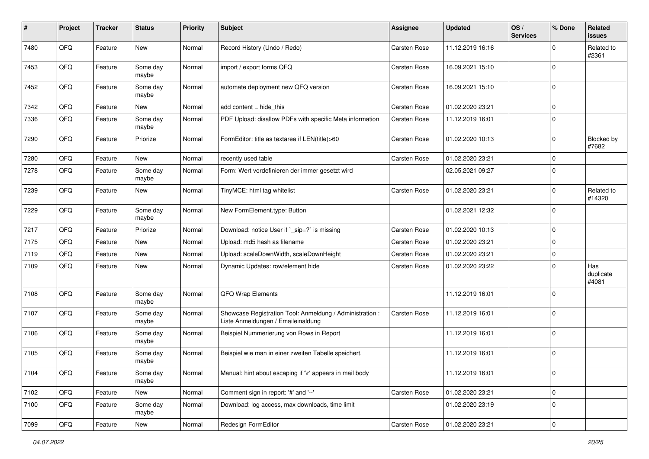| #    | Project | <b>Tracker</b> | <b>Status</b>     | <b>Priority</b> | <b>Subject</b>                                                                                 | Assignee            | <b>Updated</b>   | OS/<br><b>Services</b> | % Done      | Related<br><b>issues</b>  |
|------|---------|----------------|-------------------|-----------------|------------------------------------------------------------------------------------------------|---------------------|------------------|------------------------|-------------|---------------------------|
| 7480 | QFQ     | Feature        | New               | Normal          | Record History (Undo / Redo)                                                                   | Carsten Rose        | 11.12.2019 16:16 |                        | $\Omega$    | Related to<br>#2361       |
| 7453 | QFQ     | Feature        | Some day<br>maybe | Normal          | import / export forms QFQ                                                                      | <b>Carsten Rose</b> | 16.09.2021 15:10 |                        | $\mathbf 0$ |                           |
| 7452 | QFQ     | Feature        | Some day<br>maybe | Normal          | automate deployment new QFQ version                                                            | Carsten Rose        | 16.09.2021 15:10 |                        | $\mathbf 0$ |                           |
| 7342 | QFQ     | Feature        | New               | Normal          | add content $=$ hide this                                                                      | Carsten Rose        | 01.02.2020 23:21 |                        | $\mathbf 0$ |                           |
| 7336 | QFQ     | Feature        | Some day<br>maybe | Normal          | PDF Upload: disallow PDFs with specific Meta information                                       | Carsten Rose        | 11.12.2019 16:01 |                        | $\Omega$    |                           |
| 7290 | QFQ     | Feature        | Priorize          | Normal          | FormEditor: title as textarea if LEN(title)>60                                                 | Carsten Rose        | 01.02.2020 10:13 |                        | $\mathbf 0$ | Blocked by<br>#7682       |
| 7280 | QFQ     | Feature        | <b>New</b>        | Normal          | recently used table                                                                            | Carsten Rose        | 01.02.2020 23:21 |                        | $\mathbf 0$ |                           |
| 7278 | QFQ     | Feature        | Some day<br>maybe | Normal          | Form: Wert vordefinieren der immer gesetzt wird                                                |                     | 02.05.2021 09:27 |                        | $\mathbf 0$ |                           |
| 7239 | QFQ     | Feature        | New               | Normal          | TinyMCE: html tag whitelist                                                                    | <b>Carsten Rose</b> | 01.02.2020 23:21 |                        | $\mathbf 0$ | Related to<br>#14320      |
| 7229 | QFQ     | Feature        | Some day<br>maybe | Normal          | New FormElement.type: Button                                                                   |                     | 01.02.2021 12:32 |                        | $\mathbf 0$ |                           |
| 7217 | QFQ     | Feature        | Priorize          | Normal          | Download: notice User if `_sip=?` is missing                                                   | Carsten Rose        | 01.02.2020 10:13 |                        | $\mathbf 0$ |                           |
| 7175 | QFQ     | Feature        | <b>New</b>        | Normal          | Upload: md5 hash as filename                                                                   | <b>Carsten Rose</b> | 01.02.2020 23:21 |                        | $\mathbf 0$ |                           |
| 7119 | QFQ     | Feature        | New               | Normal          | Upload: scaleDownWidth, scaleDownHeight                                                        | Carsten Rose        | 01.02.2020 23:21 |                        | $\mathbf 0$ |                           |
| 7109 | QFQ     | Feature        | New               | Normal          | Dynamic Updates: row/element hide                                                              | Carsten Rose        | 01.02.2020 23:22 |                        | $\mathbf 0$ | Has<br>duplicate<br>#4081 |
| 7108 | QFQ     | Feature        | Some day<br>maybe | Normal          | QFQ Wrap Elements                                                                              |                     | 11.12.2019 16:01 |                        | $\Omega$    |                           |
| 7107 | QFQ     | Feature        | Some day<br>maybe | Normal          | Showcase Registration Tool: Anmeldung / Administration :<br>Liste Anmeldungen / Emaileinaldung | Carsten Rose        | 11.12.2019 16:01 |                        | $\mathbf 0$ |                           |
| 7106 | QFQ     | Feature        | Some day<br>maybe | Normal          | Beispiel Nummerierung von Rows in Report                                                       |                     | 11.12.2019 16:01 |                        | $\mathbf 0$ |                           |
| 7105 | QFQ     | Feature        | Some day<br>maybe | Normal          | Beispiel wie man in einer zweiten Tabelle speichert.                                           |                     | 11.12.2019 16:01 |                        | $\mathbf 0$ |                           |
| 7104 | QFG     | Feature        | Some day<br>maybe | Normal          | Manual: hint about escaping if '\r' appears in mail body                                       |                     | 11.12.2019 16:01 |                        | $\mathbf 0$ |                           |
| 7102 | QFQ     | Feature        | New               | Normal          | Comment sign in report: '#' and '--'                                                           | Carsten Rose        | 01.02.2020 23:21 |                        | $\mathbf 0$ |                           |
| 7100 | QFQ     | Feature        | Some day<br>maybe | Normal          | Download: log access, max downloads, time limit                                                |                     | 01.02.2020 23:19 |                        | $\mathbf 0$ |                           |
| 7099 | QFQ     | Feature        | New               | Normal          | Redesign FormEditor                                                                            | Carsten Rose        | 01.02.2020 23:21 |                        | $\pmb{0}$   |                           |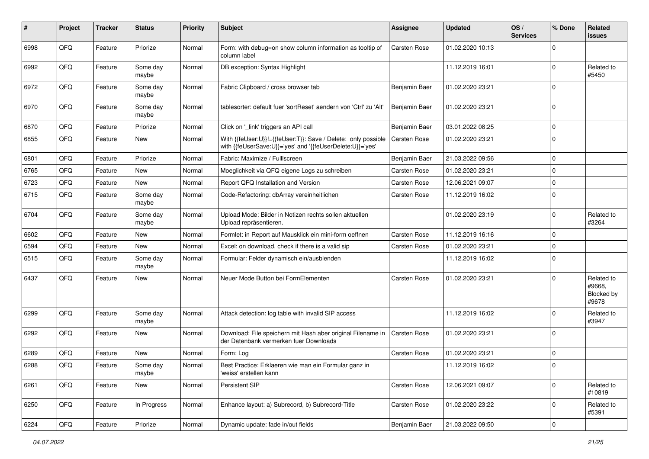| ∦    | Project | <b>Tracker</b> | <b>Status</b>     | <b>Priority</b> | <b>Subject</b>                                                                                                             | <b>Assignee</b>     | <b>Updated</b>   | OS/<br><b>Services</b> | % Done                  | Related<br><b>issues</b>                    |
|------|---------|----------------|-------------------|-----------------|----------------------------------------------------------------------------------------------------------------------------|---------------------|------------------|------------------------|-------------------------|---------------------------------------------|
| 6998 | QFQ     | Feature        | Priorize          | Normal          | Form: with debug=on show column information as tooltip of<br>column label                                                  | <b>Carsten Rose</b> | 01.02.2020 10:13 |                        | $\mathbf 0$             |                                             |
| 6992 | QFQ     | Feature        | Some day<br>maybe | Normal          | DB exception: Syntax Highlight                                                                                             |                     | 11.12.2019 16:01 |                        | $\mathbf 0$             | Related to<br>#5450                         |
| 6972 | QFQ     | Feature        | Some day<br>maybe | Normal          | Fabric Clipboard / cross browser tab                                                                                       | Benjamin Baer       | 01.02.2020 23:21 |                        | $\mathbf 0$             |                                             |
| 6970 | QFQ     | Feature        | Some day<br>maybe | Normal          | tablesorter: default fuer 'sortReset' aendern von 'Ctrl' zu 'Alt'                                                          | Benjamin Baer       | 01.02.2020 23:21 |                        | 0                       |                                             |
| 6870 | QFQ     | Feature        | Priorize          | Normal          | Click on '_link' triggers an API call                                                                                      | Benjamin Baer       | 03.01.2022 08:25 |                        | $\mathbf 0$             |                                             |
| 6855 | QFQ     | Feature        | New               | Normal          | With {{feUser:U}}!={{feUser:T}}: Save / Delete: only possible<br>with {{feUserSave:U}}='yes' and '{{feUserDelete:U}}='yes' | <b>Carsten Rose</b> | 01.02.2020 23:21 |                        | $\Omega$                |                                             |
| 6801 | QFQ     | Feature        | Priorize          | Normal          | Fabric: Maximize / Fulllscreen                                                                                             | Benjamin Baer       | 21.03.2022 09:56 |                        | $\mathbf 0$             |                                             |
| 6765 | QFQ     | Feature        | New               | Normal          | Moeglichkeit via QFQ eigene Logs zu schreiben                                                                              | Carsten Rose        | 01.02.2020 23:21 |                        | $\mathbf 0$             |                                             |
| 6723 | QFQ     | Feature        | <b>New</b>        | Normal          | Report QFQ Installation and Version                                                                                        | <b>Carsten Rose</b> | 12.06.2021 09:07 |                        | $\overline{0}$          |                                             |
| 6715 | QFQ     | Feature        | Some day<br>maybe | Normal          | Code-Refactoring: dbArray vereinheitlichen                                                                                 | Carsten Rose        | 11.12.2019 16:02 |                        | 0                       |                                             |
| 6704 | QFQ     | Feature        | Some day<br>maybe | Normal          | Upload Mode: Bilder in Notizen rechts sollen aktuellen<br>Upload repräsentieren.                                           |                     | 01.02.2020 23:19 |                        | $\mathbf 0$             | Related to<br>#3264                         |
| 6602 | QFQ     | Feature        | <b>New</b>        | Normal          | Formlet: in Report auf Mausklick ein mini-form oeffnen                                                                     | <b>Carsten Rose</b> | 11.12.2019 16:16 |                        | $\mathbf 0$             |                                             |
| 6594 | QFQ     | Feature        | New               | Normal          | Excel: on download, check if there is a valid sip                                                                          | <b>Carsten Rose</b> | 01.02.2020 23:21 |                        | $\mathbf 0$             |                                             |
| 6515 | QFQ     | Feature        | Some day<br>maybe | Normal          | Formular: Felder dynamisch ein/ausblenden                                                                                  |                     | 11.12.2019 16:02 |                        | $\mathbf 0$             |                                             |
| 6437 | QFQ     | Feature        | New               | Normal          | Neuer Mode Button bei FormElementen                                                                                        | <b>Carsten Rose</b> | 01.02.2020 23:21 |                        | $\mathbf 0$             | Related to<br>#9668,<br>Blocked by<br>#9678 |
| 6299 | QFQ     | Feature        | Some day<br>maybe | Normal          | Attack detection: log table with invalid SIP access                                                                        |                     | 11.12.2019 16:02 |                        | $\mathbf 0$             | Related to<br>#3947                         |
| 6292 | QFQ     | Feature        | <b>New</b>        | Normal          | Download: File speichern mit Hash aber original Filename in<br>der Datenbank vermerken fuer Downloads                      | Carsten Rose        | 01.02.2020 23:21 |                        | 0                       |                                             |
| 6289 | QFQ     | Feature        | New               | Normal          | Form: Log                                                                                                                  | <b>Carsten Rose</b> | 01.02.2020 23:21 |                        | 0                       |                                             |
| 6288 | QFQ     | Feature        | Some day<br>maybe | Normal          | Best Practice: Erklaeren wie man ein Formular ganz in<br>'weiss' erstellen kann                                            |                     | 11.12.2019 16:02 |                        | 0                       |                                             |
| 6261 | QFQ     | Feature        | New               | Normal          | Persistent SIP                                                                                                             | Carsten Rose        | 12.06.2021 09:07 |                        | $\mathbf 0$             | Related to<br>#10819                        |
| 6250 | QFQ     | Feature        | In Progress       | Normal          | Enhance layout: a) Subrecord, b) Subrecord-Title                                                                           | Carsten Rose        | 01.02.2020 23:22 |                        | 0                       | Related to<br>#5391                         |
| 6224 | QFQ     | Feature        | Priorize          | Normal          | Dynamic update: fade in/out fields                                                                                         | Benjamin Baer       | 21.03.2022 09:50 |                        | $\overline{\mathbf{0}}$ |                                             |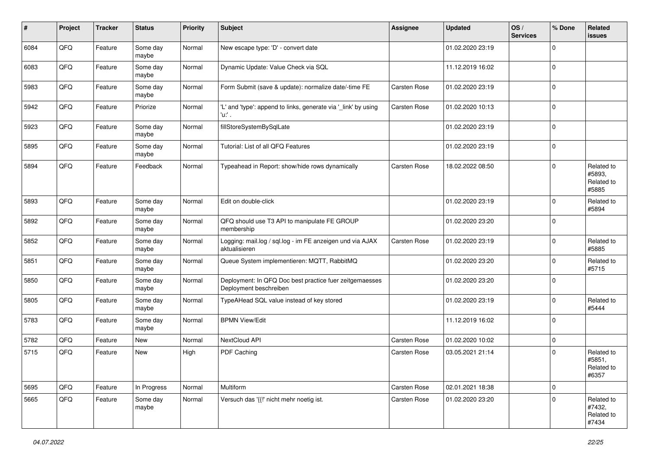| #    | Project | <b>Tracker</b> | <b>Status</b>     | <b>Priority</b> | <b>Subject</b>                                                                    | Assignee            | <b>Updated</b>   | OS/<br><b>Services</b> | % Done      | Related<br><b>issues</b>                    |
|------|---------|----------------|-------------------|-----------------|-----------------------------------------------------------------------------------|---------------------|------------------|------------------------|-------------|---------------------------------------------|
| 6084 | QFQ     | Feature        | Some day<br>maybe | Normal          | New escape type: 'D' - convert date                                               |                     | 01.02.2020 23:19 |                        | $\Omega$    |                                             |
| 6083 | QFQ     | Feature        | Some day<br>maybe | Normal          | Dynamic Update: Value Check via SQL                                               |                     | 11.12.2019 16:02 |                        | $\mathbf 0$ |                                             |
| 5983 | QFQ     | Feature        | Some day<br>maybe | Normal          | Form Submit (save & update): normalize date/-time FE                              | <b>Carsten Rose</b> | 01.02.2020 23:19 |                        | $\mathbf 0$ |                                             |
| 5942 | QFQ     | Feature        | Priorize          | Normal          | 'L' and 'type': append to links, generate via '_link' by using<br>'u:' .          | Carsten Rose        | 01.02.2020 10:13 |                        | $\mathbf 0$ |                                             |
| 5923 | QFQ     | Feature        | Some day<br>maybe | Normal          | fillStoreSystemBySqlLate                                                          |                     | 01.02.2020 23:19 |                        | $\mathbf 0$ |                                             |
| 5895 | QFQ     | Feature        | Some day<br>maybe | Normal          | Tutorial: List of all QFQ Features                                                |                     | 01.02.2020 23:19 |                        | $\mathbf 0$ |                                             |
| 5894 | QFQ     | Feature        | Feedback          | Normal          | Typeahead in Report: show/hide rows dynamically                                   | <b>Carsten Rose</b> | 18.02.2022 08:50 |                        | $\mathbf 0$ | Related to<br>#5893,<br>Related to<br>#5885 |
| 5893 | QFQ     | Feature        | Some day<br>maybe | Normal          | Edit on double-click                                                              |                     | 01.02.2020 23:19 |                        | $\mathbf 0$ | Related to<br>#5894                         |
| 5892 | QFQ     | Feature        | Some day<br>maybe | Normal          | QFQ should use T3 API to manipulate FE GROUP<br>membership                        |                     | 01.02.2020 23:20 |                        | $\mathbf 0$ |                                             |
| 5852 | QFQ     | Feature        | Some day<br>maybe | Normal          | Logging: mail.log / sql.log - im FE anzeigen und via AJAX<br>aktualisieren        | <b>Carsten Rose</b> | 01.02.2020 23:19 |                        | $\mathbf 0$ | Related to<br>#5885                         |
| 5851 | QFQ     | Feature        | Some day<br>maybe | Normal          | Queue System implementieren: MQTT, RabbitMQ                                       |                     | 01.02.2020 23:20 |                        | $\mathbf 0$ | Related to<br>#5715                         |
| 5850 | QFQ     | Feature        | Some day<br>maybe | Normal          | Deployment: In QFQ Doc best practice fuer zeitgemaesses<br>Deployment beschreiben |                     | 01.02.2020 23:20 |                        | $\mathbf 0$ |                                             |
| 5805 | QFQ     | Feature        | Some day<br>maybe | Normal          | TypeAHead SQL value instead of key stored                                         |                     | 01.02.2020 23:19 |                        | $\mathbf 0$ | Related to<br>#5444                         |
| 5783 | QFQ     | Feature        | Some day<br>maybe | Normal          | <b>BPMN View/Edit</b>                                                             |                     | 11.12.2019 16:02 |                        | $\Omega$    |                                             |
| 5782 | QFQ     | Feature        | New               | Normal          | NextCloud API                                                                     | Carsten Rose        | 01.02.2020 10:02 |                        | $\mathbf 0$ |                                             |
| 5715 | QFQ     | Feature        | New               | High            | PDF Caching                                                                       | <b>Carsten Rose</b> | 03.05.2021 21:14 |                        | $\mathbf 0$ | Related to<br>#5851,<br>Related to<br>#6357 |
| 5695 | QFO     | Feature        | In Progress       | Normal          | Multiform                                                                         | Carsten Rose        | 02.01.2021 18:38 |                        | $\mathbf 0$ |                                             |
| 5665 | QFO     | Feature        | Some day<br>maybe | Normal          | Versuch das '{{!' nicht mehr noetig ist.                                          | Carsten Rose        | 01.02.2020 23:20 |                        | $\mathbf 0$ | Related to<br>#7432,<br>Related to<br>#7434 |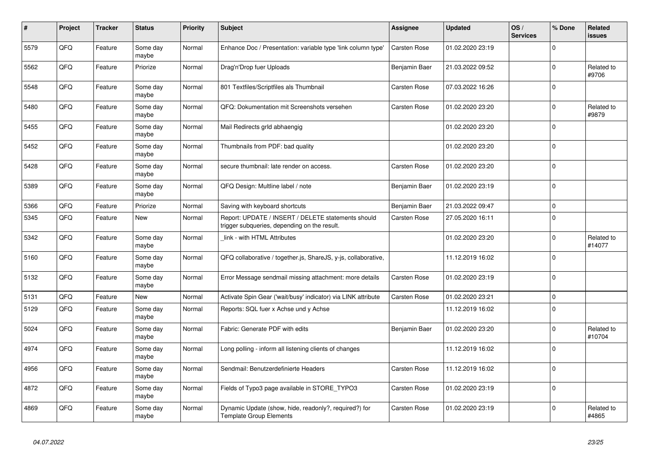| $\pmb{\sharp}$ | Project | <b>Tracker</b> | <b>Status</b>     | <b>Priority</b> | <b>Subject</b>                                                                                     | <b>Assignee</b>     | <b>Updated</b>   | OS/<br><b>Services</b> | % Done      | Related<br><b>issues</b> |
|----------------|---------|----------------|-------------------|-----------------|----------------------------------------------------------------------------------------------------|---------------------|------------------|------------------------|-------------|--------------------------|
| 5579           | QFQ     | Feature        | Some day<br>maybe | Normal          | Enhance Doc / Presentation: variable type 'link column type'                                       | Carsten Rose        | 01.02.2020 23:19 |                        | $\Omega$    |                          |
| 5562           | QFQ     | Feature        | Priorize          | Normal          | Drag'n'Drop fuer Uploads                                                                           | Benjamin Baer       | 21.03.2022 09:52 |                        | $\mathbf 0$ | Related to<br>#9706      |
| 5548           | QFQ     | Feature        | Some day<br>maybe | Normal          | 801 Textfiles/Scriptfiles als Thumbnail                                                            | <b>Carsten Rose</b> | 07.03.2022 16:26 |                        | $\mathbf 0$ |                          |
| 5480           | QFQ     | Feature        | Some day<br>maybe | Normal          | QFQ: Dokumentation mit Screenshots versehen                                                        | Carsten Rose        | 01.02.2020 23:20 |                        | $\Omega$    | Related to<br>#9879      |
| 5455           | QFQ     | Feature        | Some day<br>maybe | Normal          | Mail Redirects grId abhaengig                                                                      |                     | 01.02.2020 23:20 |                        | $\mathbf 0$ |                          |
| 5452           | QFQ     | Feature        | Some day<br>maybe | Normal          | Thumbnails from PDF: bad quality                                                                   |                     | 01.02.2020 23:20 |                        | $\mathbf 0$ |                          |
| 5428           | QFQ     | Feature        | Some day<br>maybe | Normal          | secure thumbnail: late render on access.                                                           | Carsten Rose        | 01.02.2020 23:20 |                        | $\mathbf 0$ |                          |
| 5389           | QFQ     | Feature        | Some day<br>maybe | Normal          | QFQ Design: Multline label / note                                                                  | Benjamin Baer       | 01.02.2020 23:19 |                        | $\mathbf 0$ |                          |
| 5366           | QFQ     | Feature        | Priorize          | Normal          | Saving with keyboard shortcuts                                                                     | Benjamin Baer       | 21.03.2022 09:47 |                        | $\mathbf 0$ |                          |
| 5345           | QFQ     | Feature        | New               | Normal          | Report: UPDATE / INSERT / DELETE statements should<br>trigger subqueries, depending on the result. | <b>Carsten Rose</b> | 27.05.2020 16:11 |                        | $\Omega$    |                          |
| 5342           | QFQ     | Feature        | Some day<br>maybe | Normal          | link - with HTML Attributes                                                                        |                     | 01.02.2020 23:20 |                        | $\mathbf 0$ | Related to<br>#14077     |
| 5160           | QFQ     | Feature        | Some day<br>maybe | Normal          | QFQ collaborative / together.js, ShareJS, y-js, collaborative,                                     |                     | 11.12.2019 16:02 |                        | $\mathbf 0$ |                          |
| 5132           | QFQ     | Feature        | Some day<br>maybe | Normal          | Error Message sendmail missing attachment: more details                                            | Carsten Rose        | 01.02.2020 23:19 |                        | $\mathbf 0$ |                          |
| 5131           | QFQ     | Feature        | <b>New</b>        | Normal          | Activate Spin Gear ('wait/busy' indicator) via LINK attribute                                      | <b>Carsten Rose</b> | 01.02.2020 23:21 |                        | $\mathbf 0$ |                          |
| 5129           | QFQ     | Feature        | Some day<br>maybe | Normal          | Reports: SQL fuer x Achse und y Achse                                                              |                     | 11.12.2019 16:02 |                        | $\Omega$    |                          |
| 5024           | QFQ     | Feature        | Some day<br>maybe | Normal          | Fabric: Generate PDF with edits                                                                    | Benjamin Baer       | 01.02.2020 23:20 |                        | $\mathbf 0$ | Related to<br>#10704     |
| 4974           | QFQ     | Feature        | Some day<br>maybe | Normal          | Long polling - inform all listening clients of changes                                             |                     | 11.12.2019 16:02 |                        | $\Omega$    |                          |
| 4956           | QFQ     | Feature        | Some day<br>maybe | Normal          | Sendmail: Benutzerdefinierte Headers                                                               | <b>Carsten Rose</b> | 11.12.2019 16:02 |                        | $\mathbf 0$ |                          |
| 4872           | QFQ     | Feature        | Some day<br>maybe | Normal          | Fields of Typo3 page available in STORE_TYPO3                                                      | <b>Carsten Rose</b> | 01.02.2020 23:19 |                        | $\mathbf 0$ |                          |
| 4869           | QFQ     | Feature        | Some day<br>maybe | Normal          | Dynamic Update (show, hide, readonly?, required?) for<br><b>Template Group Elements</b>            | <b>Carsten Rose</b> | 01.02.2020 23:19 |                        | $\Omega$    | Related to<br>#4865      |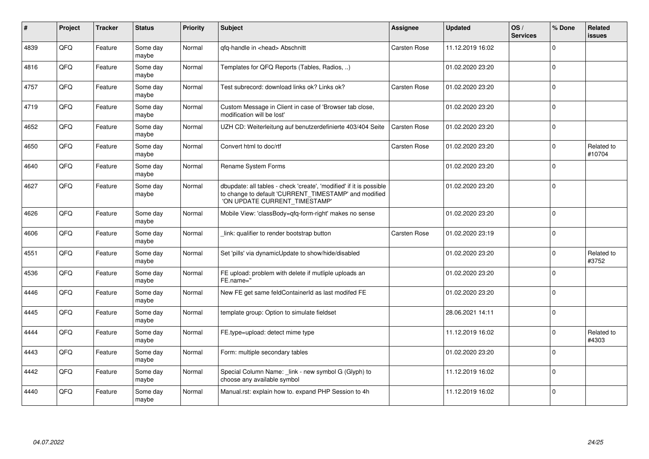| #    | <b>Project</b> | <b>Tracker</b> | <b>Status</b>     | <b>Priority</b> | <b>Subject</b>                                                                                                                                                | Assignee            | <b>Updated</b>   | OS/<br><b>Services</b> | % Done      | <b>Related</b><br><b>issues</b> |
|------|----------------|----------------|-------------------|-----------------|---------------------------------------------------------------------------------------------------------------------------------------------------------------|---------------------|------------------|------------------------|-------------|---------------------------------|
| 4839 | QFQ            | Feature        | Some day<br>maybe | Normal          | gfg-handle in <head> Abschnitt</head>                                                                                                                         | <b>Carsten Rose</b> | 11.12.2019 16:02 |                        | $\Omega$    |                                 |
| 4816 | QFQ            | Feature        | Some day<br>mavbe | Normal          | Templates for QFQ Reports (Tables, Radios, )                                                                                                                  |                     | 01.02.2020 23:20 |                        | $\Omega$    |                                 |
| 4757 | QFQ            | Feature        | Some day<br>maybe | Normal          | Test subrecord: download links ok? Links ok?                                                                                                                  | <b>Carsten Rose</b> | 01.02.2020 23:20 |                        | $\Omega$    |                                 |
| 4719 | QFQ            | Feature        | Some dav<br>maybe | Normal          | Custom Message in Client in case of 'Browser tab close,<br>modification will be lost'                                                                         |                     | 01.02.2020 23:20 |                        | $\Omega$    |                                 |
| 4652 | QFQ            | Feature        | Some day<br>maybe | Normal          | UZH CD: Weiterleitung auf benutzerdefinierte 403/404 Seite                                                                                                    | Carsten Rose        | 01.02.2020 23:20 |                        | $\mathbf 0$ |                                 |
| 4650 | QFQ            | Feature        | Some day<br>maybe | Normal          | Convert html to doc/rtf                                                                                                                                       | Carsten Rose        | 01.02.2020 23:20 |                        | $\mathbf 0$ | Related to<br>#10704            |
| 4640 | QFQ            | Feature        | Some day<br>maybe | Normal          | Rename System Forms                                                                                                                                           |                     | 01.02.2020 23:20 |                        | $\mathbf 0$ |                                 |
| 4627 | QFQ            | Feature        | Some day<br>maybe | Normal          | dbupdate: all tables - check 'create', 'modified' if it is possible<br>to change to default 'CURRENT_TIMESTAMP' and modified<br>'ON UPDATE CURRENT TIMESTAMP' |                     | 01.02.2020 23:20 |                        | $\mathbf 0$ |                                 |
| 4626 | QFQ            | Feature        | Some day<br>maybe | Normal          | Mobile View: 'classBody=qfq-form-right' makes no sense                                                                                                        |                     | 01.02.2020 23:20 |                        | $\Omega$    |                                 |
| 4606 | QFQ            | Feature        | Some dav<br>maybe | Normal          | link: qualifier to render bootstrap button                                                                                                                    | Carsten Rose        | 01.02.2020 23:19 |                        | $\mathbf 0$ |                                 |
| 4551 | QFQ            | Feature        | Some day<br>maybe | Normal          | Set 'pills' via dynamicUpdate to show/hide/disabled                                                                                                           |                     | 01.02.2020 23:20 |                        | $\Omega$    | Related to<br>#3752             |
| 4536 | QFQ            | Feature        | Some day<br>maybe | Normal          | FE upload: problem with delete if mutliple uploads an<br>FE.name="                                                                                            |                     | 01.02.2020 23:20 |                        | $\Omega$    |                                 |
| 4446 | QFQ            | Feature        | Some day<br>maybe | Normal          | New FE get same feldContainerId as last modifed FE                                                                                                            |                     | 01.02.2020 23:20 |                        | $\mathbf 0$ |                                 |
| 4445 | QFQ            | Feature        | Some day<br>maybe | Normal          | template group: Option to simulate fieldset                                                                                                                   |                     | 28.06.2021 14:11 |                        | $\Omega$    |                                 |
| 4444 | QFQ            | Feature        | Some day<br>maybe | Normal          | FE.type=upload: detect mime type                                                                                                                              |                     | 11.12.2019 16:02 |                        | $\mathbf 0$ | Related to<br>#4303             |
| 4443 | QFQ            | Feature        | Some day<br>maybe | Normal          | Form: multiple secondary tables                                                                                                                               |                     | 01.02.2020 23:20 |                        | $\Omega$    |                                 |
| 4442 | QFQ            | Feature        | Some day<br>maybe | Normal          | Special Column Name: _link - new symbol G (Glyph) to<br>choose any available symbol                                                                           |                     | 11.12.2019 16:02 |                        | $\Omega$    |                                 |
| 4440 | QFQ            | Feature        | Some day<br>maybe | Normal          | Manual.rst: explain how to. expand PHP Session to 4h                                                                                                          |                     | 11.12.2019 16:02 |                        | $\mathbf 0$ |                                 |